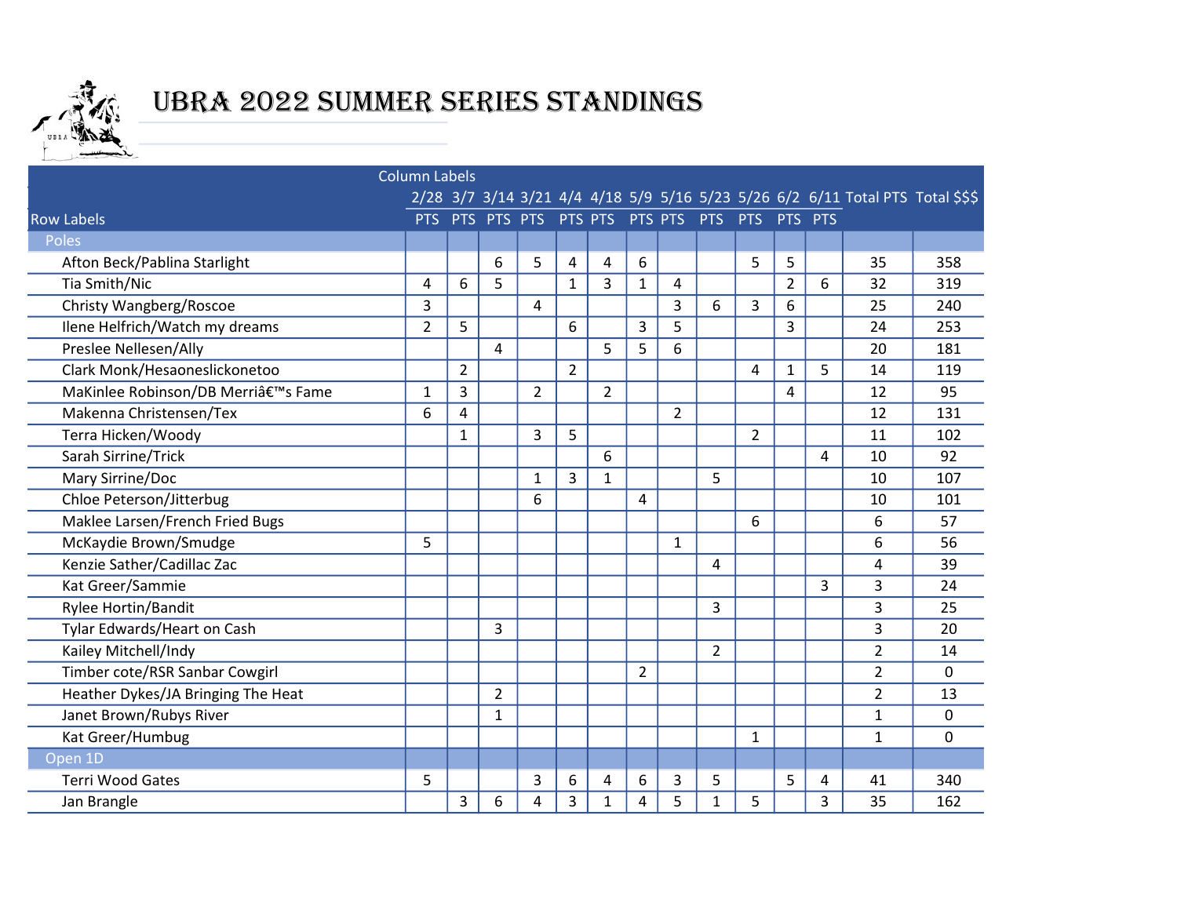

## UBRA 2022 SUmmeR SeRieS StAndingS

|                                    | <b>Column Labels</b> |                |                |                |                |                |                |                |                |                |                |   |                |                                                                                |
|------------------------------------|----------------------|----------------|----------------|----------------|----------------|----------------|----------------|----------------|----------------|----------------|----------------|---|----------------|--------------------------------------------------------------------------------|
|                                    |                      |                |                |                |                |                |                |                |                |                |                |   |                | 2/28 3/7 3/14 3/21 4/4 4/18 5/9 5/16 5/23 5/26 6/2 6/11 Total PTS Total \$\$\$ |
| <b>Row Labels</b>                  |                      |                |                |                |                |                |                |                |                |                |                |   |                |                                                                                |
| Poles                              |                      |                |                |                |                |                |                |                |                |                |                |   |                |                                                                                |
| Afton Beck/Pablina Starlight       |                      |                | 6              | 5              | 4              | 4              | 6              |                |                | 5              | 5              |   | 35             | 358                                                                            |
| Tia Smith/Nic                      | 4                    | 6              | 5              |                | $\mathbf{1}$   | 3              | 1              | 4              |                |                | $\overline{2}$ | 6 | 32             | 319                                                                            |
| Christy Wangberg/Roscoe            | 3                    |                |                | 4              |                |                |                | 3              | 6              | 3              | 6              |   | 25             | 240                                                                            |
| Ilene Helfrich/Watch my dreams     | $\overline{2}$       | 5              |                |                | 6              |                | 3              | 5              |                |                | 3              |   | 24             | 253                                                                            |
| Preslee Nellesen/Ally              |                      |                | 4              |                |                | 5              | 5              | 6              |                |                |                |   | 20             | 181                                                                            |
| Clark Monk/Hesaoneslickonetoo      |                      | $\overline{2}$ |                |                | $\overline{2}$ |                |                |                |                | 4              | $\mathbf{1}$   | 5 | 14             | 119                                                                            |
| MaKinlee Robinson/DB Merri's Fame  | $\mathbf{1}$         | 3              |                | $\overline{2}$ |                | $\overline{2}$ |                |                |                |                | 4              |   | 12             | 95                                                                             |
| Makenna Christensen/Tex            | 6                    | 4              |                |                |                |                |                | $\overline{2}$ |                |                |                |   | 12             | 131                                                                            |
| Terra Hicken/Woody                 |                      | $\mathbf{1}$   |                | 3              | 5              |                |                |                |                | $\overline{2}$ |                |   | 11             | 102                                                                            |
| Sarah Sirrine/Trick                |                      |                |                |                |                | 6              |                |                |                |                |                | 4 | 10             | 92                                                                             |
| Mary Sirrine/Doc                   |                      |                |                | 1              | 3              | $\mathbf{1}$   |                |                | 5              |                |                |   | 10             | 107                                                                            |
| Chloe Peterson/Jitterbug           |                      |                |                | 6              |                |                | 4              |                |                |                |                |   | 10             | 101                                                                            |
| Maklee Larsen/French Fried Bugs    |                      |                |                |                |                |                |                |                |                | 6              |                |   | 6              | 57                                                                             |
| McKaydie Brown/Smudge              | 5                    |                |                |                |                |                |                | $\mathbf{1}$   |                |                |                |   | 6              | 56                                                                             |
| Kenzie Sather/Cadillac Zac         |                      |                |                |                |                |                |                |                | 4              |                |                |   | 4              | 39                                                                             |
| Kat Greer/Sammie                   |                      |                |                |                |                |                |                |                |                |                |                | 3 | 3              | 24                                                                             |
| Rylee Hortin/Bandit                |                      |                |                |                |                |                |                |                | 3              |                |                |   | 3              | 25                                                                             |
| Tylar Edwards/Heart on Cash        |                      |                | 3              |                |                |                |                |                |                |                |                |   | 3              | 20                                                                             |
| Kailey Mitchell/Indy               |                      |                |                |                |                |                |                |                | $\overline{2}$ |                |                |   | $\overline{2}$ | 14                                                                             |
| Timber cote/RSR Sanbar Cowgirl     |                      |                |                |                |                |                | $\overline{2}$ |                |                |                |                |   | $\overline{2}$ | 0                                                                              |
| Heather Dykes/JA Bringing The Heat |                      |                | $\overline{2}$ |                |                |                |                |                |                |                |                |   | $\overline{2}$ | 13                                                                             |
| Janet Brown/Rubys River            |                      |                | $\mathbf{1}$   |                |                |                |                |                |                |                |                |   | 1              | 0                                                                              |
| Kat Greer/Humbug                   |                      |                |                |                |                |                |                |                |                | 1              |                |   | $\mathbf{1}$   | $\Omega$                                                                       |
| Open 1D                            |                      |                |                |                |                |                |                |                |                |                |                |   |                |                                                                                |
| <b>Terri Wood Gates</b>            | 5                    |                |                | 3              | 6              | 4              | 6              | 3              | 5              |                | 5              | 4 | 41             | 340                                                                            |
| Jan Brangle                        |                      | 3              | 6              | 4              | 3              | 1              | 4              | 5              | $\mathbf{1}$   | 5              |                | 3 | 35             | 162                                                                            |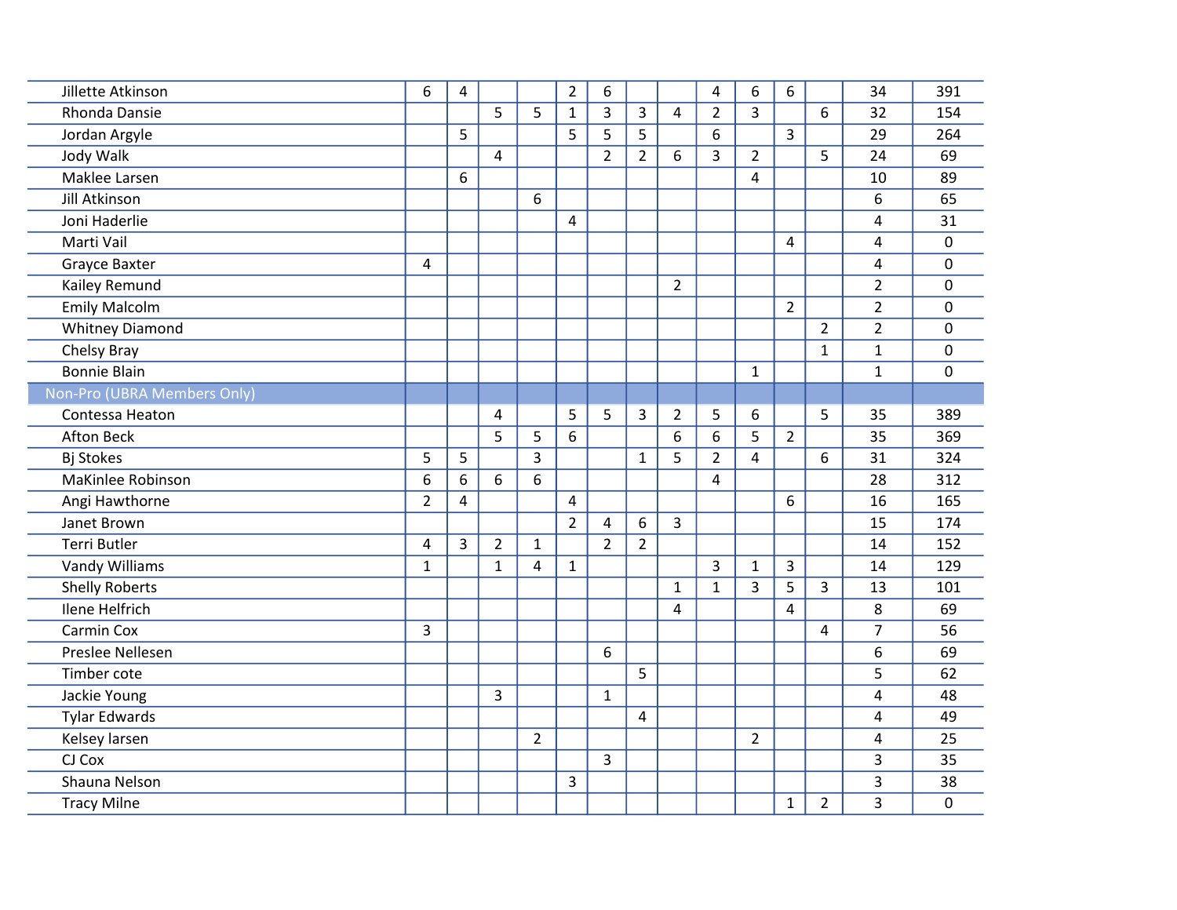| Jillette Atkinson           | 6              | $\overline{\mathbf{4}}$ |                |                | $\overline{2}$ | 6              |                         |                | 4              | 6              | 6              |                | 34             | 391 |
|-----------------------------|----------------|-------------------------|----------------|----------------|----------------|----------------|-------------------------|----------------|----------------|----------------|----------------|----------------|----------------|-----|
| Rhonda Dansie               |                |                         | 5              | 5              | $\mathbf{1}$   | 3              | 3                       | 4              | $\overline{2}$ | $\overline{3}$ |                | 6              | 32             | 154 |
| Jordan Argyle               |                | 5                       |                |                | 5              | 5              | 5                       |                | 6              |                | $\mathsf{3}$   |                | 29             | 264 |
| Jody Walk                   |                |                         | 4              |                |                | $\overline{2}$ | $\overline{2}$          | 6              | 3              | $\overline{2}$ |                | 5              | 24             | 69  |
| Maklee Larsen               |                | 6                       |                |                |                |                |                         |                |                | 4              |                |                | 10             | 89  |
| Jill Atkinson               |                |                         |                | 6              |                |                |                         |                |                |                |                |                | 6              | 65  |
| Joni Haderlie               |                |                         |                |                | $\overline{4}$ |                |                         |                |                |                |                |                | 4              | 31  |
| Marti Vail                  |                |                         |                |                |                |                |                         |                |                |                | 4              |                | $\overline{4}$ | 0   |
| <b>Grayce Baxter</b>        | 4              |                         |                |                |                |                |                         |                |                |                |                |                | 4              | 0   |
| Kailey Remund               |                |                         |                |                |                |                |                         | $\overline{2}$ |                |                |                |                | $\overline{2}$ | 0   |
| <b>Emily Malcolm</b>        |                |                         |                |                |                |                |                         |                |                |                | $\overline{2}$ |                | $\overline{2}$ | 0   |
| <b>Whitney Diamond</b>      |                |                         |                |                |                |                |                         |                |                |                |                | $\overline{2}$ | $\overline{2}$ | 0   |
| Chelsy Bray                 |                |                         |                |                |                |                |                         |                |                |                |                | $\mathbf{1}$   | $\mathbf{1}$   | 0   |
| <b>Bonnie Blain</b>         |                |                         |                |                |                |                |                         |                |                | $\mathbf{1}$   |                |                | $\mathbf{1}$   | 0   |
| Non-Pro (UBRA Members Only) |                |                         |                |                |                |                |                         |                |                |                |                |                |                |     |
| Contessa Heaton             |                |                         | 4              |                | 5              | 5              | 3                       | $\overline{2}$ | 5              | 6              |                | 5              | 35             | 389 |
| <b>Afton Beck</b>           |                |                         | 5              | 5              | 6              |                |                         | 6              | 6              | 5              | $\overline{2}$ |                | 35             | 369 |
| <b>Bj Stokes</b>            | 5              | 5                       |                | 3              |                |                | $\mathbf{1}$            | 5              | $\overline{2}$ | 4              |                | 6              | 31             | 324 |
| MaKinlee Robinson           | 6              | 6                       | 6              | 6              |                |                |                         |                | 4              |                |                |                | 28             | 312 |
| Angi Hawthorne              | $\overline{2}$ | 4                       |                |                | $\overline{4}$ |                |                         |                |                |                | 6              |                | 16             | 165 |
| Janet Brown                 |                |                         |                |                | $\overline{2}$ | 4              | 6                       | 3              |                |                |                |                | 15             | 174 |
| <b>Terri Butler</b>         | 4              | 3                       | $\overline{2}$ | $\mathbf{1}$   |                | $\overline{2}$ | $\overline{2}$          |                |                |                |                |                | 14             | 152 |
| Vandy Williams              | $\mathbf{1}$   |                         | $\mathbf{1}$   | 4              | $\mathbf{1}$   |                |                         |                | 3              | $\mathbf{1}$   | 3              |                | 14             | 129 |
| <b>Shelly Roberts</b>       |                |                         |                |                |                |                |                         | $\mathbf{1}$   | $\mathbf{1}$   | 3              | 5              | $\overline{3}$ | 13             | 101 |
| Ilene Helfrich              |                |                         |                |                |                |                |                         | $\overline{4}$ |                |                | 4              |                | 8              | 69  |
| Carmin Cox                  | 3              |                         |                |                |                |                |                         |                |                |                |                | 4              | $\overline{7}$ | 56  |
| Preslee Nellesen            |                |                         |                |                |                | 6              |                         |                |                |                |                |                | 6              | 69  |
| Timber cote                 |                |                         |                |                |                |                | 5                       |                |                |                |                |                | 5              | 62  |
| Jackie Young                |                |                         | 3              |                |                | $\mathbf{1}$   |                         |                |                |                |                |                | 4              | 48  |
| <b>Tylar Edwards</b>        |                |                         |                |                |                |                | $\overline{\mathbf{4}}$ |                |                |                |                |                | 4              | 49  |
| Kelsey larsen               |                |                         |                | $\overline{2}$ |                |                |                         |                |                | $\overline{2}$ |                |                | 4              | 25  |
| CJ Cox                      |                |                         |                |                |                | 3              |                         |                |                |                |                |                | 3              | 35  |
| Shauna Nelson               |                |                         |                |                | 3              |                |                         |                |                |                |                |                | 3              | 38  |
| <b>Tracy Milne</b>          |                |                         |                |                |                |                |                         |                |                |                | $\mathbf{1}$   | $\overline{2}$ | 3              | 0   |
|                             |                |                         |                |                |                |                |                         |                |                |                |                |                |                |     |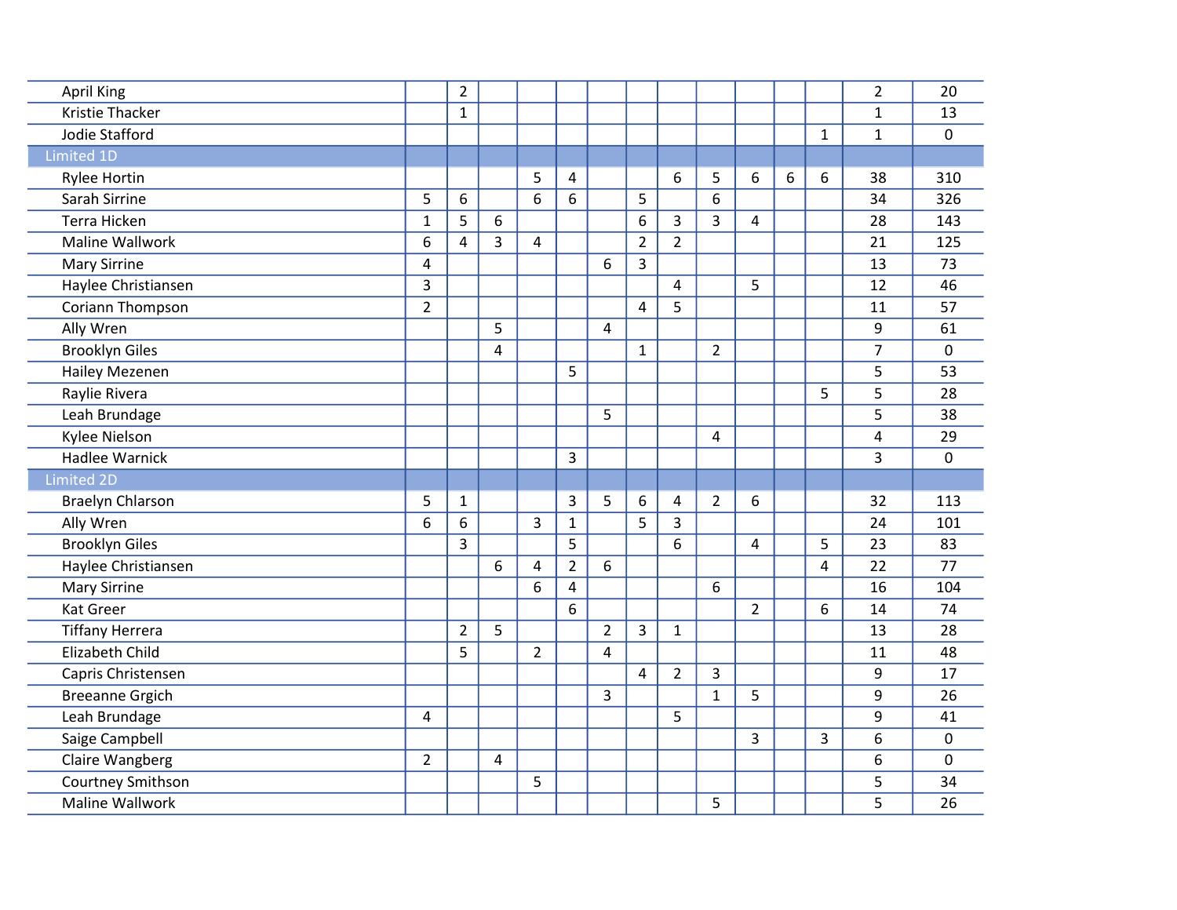| $\overline{2}$<br>$\overline{2}$<br><b>April King</b><br>20<br><b>Kristie Thacker</b><br>13<br>$\mathbf{1}$<br>$\mathbf{1}$<br>Jodie Stafford<br>0<br>$\mathbf{1}$<br>$\mathbf{1}$<br>Limited 1D<br>6<br>5<br><b>Rylee Hortin</b><br>5<br>4<br>6<br>6<br>6<br>310<br>38<br>6<br>5<br>Sarah Sirrine<br>5<br>6<br>6<br>6<br>34<br>326<br>5<br>6<br><b>Terra Hicken</b><br>$\mathbf{1}$<br>3<br>3<br>6<br>28<br>143<br>4<br>Maline Wallwork<br>6<br>4<br>$\overline{2}$<br>$\overline{2}$<br>125<br>3<br>4<br>21<br>6<br>$\overline{3}$<br>73<br><b>Mary Sirrine</b><br>13<br>4<br>Haylee Christiansen<br>3<br>5<br>12<br>46<br>4<br>$\overline{2}$<br>5<br>Coriann Thompson<br>$\overline{4}$<br>57<br>11<br>5<br>Ally Wren<br>4<br>9<br>61<br><b>Brooklyn Giles</b><br>$\overline{7}$<br>$\overline{4}$<br>$\mathbf{1}$<br>$\overline{2}$<br>0<br>Hailey Mezenen<br>5<br>5<br>53<br>5<br>5<br>Raylie Rivera<br>28<br>Leah Brundage<br>5<br>5<br>38<br>Kylee Nielson<br>$\overline{\mathbf{4}}$<br>29<br>4<br><b>Hadlee Warnick</b><br>3<br>3<br>0<br><b>Limited 2D</b><br><b>Braelyn Chlarson</b><br>5<br>3<br>6<br>$\overline{2}$<br>32<br>$\mathbf{1}$<br>5<br>6<br>113<br>4<br>6<br>5<br>6<br>3<br>3<br>24<br>Ally Wren<br>$\mathbf{1}$<br>101<br><b>Brooklyn Giles</b><br>3<br>5<br>5<br>6<br>23<br>83<br>4<br>$\overline{2}$<br>Haylee Christiansen<br>4<br>$\overline{4}$<br>22<br>77<br>6<br>6<br><b>Mary Sirrine</b><br>6<br>4<br>6<br>104<br>16<br><b>Kat Greer</b><br>6<br>$\overline{2}$<br>6<br>74<br>14<br><b>Tiffany Herrera</b><br>$\overline{2}$<br>5<br>$\overline{2}$<br>3<br>13<br>28<br>$\mathbf{1}$<br>5<br>Elizabeth Child<br>$\overline{2}$<br>4<br>48<br>11<br>$\overline{2}$<br>3<br>Capris Christensen<br>$\overline{4}$<br>9<br>17<br>$\mathbf{1}$<br>5<br>9<br>26<br><b>Breeanne Grgich</b><br>3<br>5<br>Leah Brundage<br>9<br>41<br>4<br>6<br>Saige Campbell<br>3<br>3<br>0<br>Claire Wangberg<br>6<br>$\overline{2}$<br>0<br>4<br>Courtney Smithson<br>5<br>5<br>34<br><b>Maline Wallwork</b><br>5<br>5<br>26 |  |  |  |  |  |  |  |  |
|--------------------------------------------------------------------------------------------------------------------------------------------------------------------------------------------------------------------------------------------------------------------------------------------------------------------------------------------------------------------------------------------------------------------------------------------------------------------------------------------------------------------------------------------------------------------------------------------------------------------------------------------------------------------------------------------------------------------------------------------------------------------------------------------------------------------------------------------------------------------------------------------------------------------------------------------------------------------------------------------------------------------------------------------------------------------------------------------------------------------------------------------------------------------------------------------------------------------------------------------------------------------------------------------------------------------------------------------------------------------------------------------------------------------------------------------------------------------------------------------------------------------------------------------------------------------------------------------------------------------------------------------------------------------------------------------------------------------------------------------------------------------------------------------------------------------------------------------------------------------------------------------------------------------------------------------------------------------------------------------------------------------------------------------|--|--|--|--|--|--|--|--|
|                                                                                                                                                                                                                                                                                                                                                                                                                                                                                                                                                                                                                                                                                                                                                                                                                                                                                                                                                                                                                                                                                                                                                                                                                                                                                                                                                                                                                                                                                                                                                                                                                                                                                                                                                                                                                                                                                                                                                                                                                                            |  |  |  |  |  |  |  |  |
|                                                                                                                                                                                                                                                                                                                                                                                                                                                                                                                                                                                                                                                                                                                                                                                                                                                                                                                                                                                                                                                                                                                                                                                                                                                                                                                                                                                                                                                                                                                                                                                                                                                                                                                                                                                                                                                                                                                                                                                                                                            |  |  |  |  |  |  |  |  |
|                                                                                                                                                                                                                                                                                                                                                                                                                                                                                                                                                                                                                                                                                                                                                                                                                                                                                                                                                                                                                                                                                                                                                                                                                                                                                                                                                                                                                                                                                                                                                                                                                                                                                                                                                                                                                                                                                                                                                                                                                                            |  |  |  |  |  |  |  |  |
|                                                                                                                                                                                                                                                                                                                                                                                                                                                                                                                                                                                                                                                                                                                                                                                                                                                                                                                                                                                                                                                                                                                                                                                                                                                                                                                                                                                                                                                                                                                                                                                                                                                                                                                                                                                                                                                                                                                                                                                                                                            |  |  |  |  |  |  |  |  |
|                                                                                                                                                                                                                                                                                                                                                                                                                                                                                                                                                                                                                                                                                                                                                                                                                                                                                                                                                                                                                                                                                                                                                                                                                                                                                                                                                                                                                                                                                                                                                                                                                                                                                                                                                                                                                                                                                                                                                                                                                                            |  |  |  |  |  |  |  |  |
|                                                                                                                                                                                                                                                                                                                                                                                                                                                                                                                                                                                                                                                                                                                                                                                                                                                                                                                                                                                                                                                                                                                                                                                                                                                                                                                                                                                                                                                                                                                                                                                                                                                                                                                                                                                                                                                                                                                                                                                                                                            |  |  |  |  |  |  |  |  |
|                                                                                                                                                                                                                                                                                                                                                                                                                                                                                                                                                                                                                                                                                                                                                                                                                                                                                                                                                                                                                                                                                                                                                                                                                                                                                                                                                                                                                                                                                                                                                                                                                                                                                                                                                                                                                                                                                                                                                                                                                                            |  |  |  |  |  |  |  |  |
|                                                                                                                                                                                                                                                                                                                                                                                                                                                                                                                                                                                                                                                                                                                                                                                                                                                                                                                                                                                                                                                                                                                                                                                                                                                                                                                                                                                                                                                                                                                                                                                                                                                                                                                                                                                                                                                                                                                                                                                                                                            |  |  |  |  |  |  |  |  |
|                                                                                                                                                                                                                                                                                                                                                                                                                                                                                                                                                                                                                                                                                                                                                                                                                                                                                                                                                                                                                                                                                                                                                                                                                                                                                                                                                                                                                                                                                                                                                                                                                                                                                                                                                                                                                                                                                                                                                                                                                                            |  |  |  |  |  |  |  |  |
|                                                                                                                                                                                                                                                                                                                                                                                                                                                                                                                                                                                                                                                                                                                                                                                                                                                                                                                                                                                                                                                                                                                                                                                                                                                                                                                                                                                                                                                                                                                                                                                                                                                                                                                                                                                                                                                                                                                                                                                                                                            |  |  |  |  |  |  |  |  |
|                                                                                                                                                                                                                                                                                                                                                                                                                                                                                                                                                                                                                                                                                                                                                                                                                                                                                                                                                                                                                                                                                                                                                                                                                                                                                                                                                                                                                                                                                                                                                                                                                                                                                                                                                                                                                                                                                                                                                                                                                                            |  |  |  |  |  |  |  |  |
|                                                                                                                                                                                                                                                                                                                                                                                                                                                                                                                                                                                                                                                                                                                                                                                                                                                                                                                                                                                                                                                                                                                                                                                                                                                                                                                                                                                                                                                                                                                                                                                                                                                                                                                                                                                                                                                                                                                                                                                                                                            |  |  |  |  |  |  |  |  |
|                                                                                                                                                                                                                                                                                                                                                                                                                                                                                                                                                                                                                                                                                                                                                                                                                                                                                                                                                                                                                                                                                                                                                                                                                                                                                                                                                                                                                                                                                                                                                                                                                                                                                                                                                                                                                                                                                                                                                                                                                                            |  |  |  |  |  |  |  |  |
|                                                                                                                                                                                                                                                                                                                                                                                                                                                                                                                                                                                                                                                                                                                                                                                                                                                                                                                                                                                                                                                                                                                                                                                                                                                                                                                                                                                                                                                                                                                                                                                                                                                                                                                                                                                                                                                                                                                                                                                                                                            |  |  |  |  |  |  |  |  |
|                                                                                                                                                                                                                                                                                                                                                                                                                                                                                                                                                                                                                                                                                                                                                                                                                                                                                                                                                                                                                                                                                                                                                                                                                                                                                                                                                                                                                                                                                                                                                                                                                                                                                                                                                                                                                                                                                                                                                                                                                                            |  |  |  |  |  |  |  |  |
|                                                                                                                                                                                                                                                                                                                                                                                                                                                                                                                                                                                                                                                                                                                                                                                                                                                                                                                                                                                                                                                                                                                                                                                                                                                                                                                                                                                                                                                                                                                                                                                                                                                                                                                                                                                                                                                                                                                                                                                                                                            |  |  |  |  |  |  |  |  |
|                                                                                                                                                                                                                                                                                                                                                                                                                                                                                                                                                                                                                                                                                                                                                                                                                                                                                                                                                                                                                                                                                                                                                                                                                                                                                                                                                                                                                                                                                                                                                                                                                                                                                                                                                                                                                                                                                                                                                                                                                                            |  |  |  |  |  |  |  |  |
|                                                                                                                                                                                                                                                                                                                                                                                                                                                                                                                                                                                                                                                                                                                                                                                                                                                                                                                                                                                                                                                                                                                                                                                                                                                                                                                                                                                                                                                                                                                                                                                                                                                                                                                                                                                                                                                                                                                                                                                                                                            |  |  |  |  |  |  |  |  |
|                                                                                                                                                                                                                                                                                                                                                                                                                                                                                                                                                                                                                                                                                                                                                                                                                                                                                                                                                                                                                                                                                                                                                                                                                                                                                                                                                                                                                                                                                                                                                                                                                                                                                                                                                                                                                                                                                                                                                                                                                                            |  |  |  |  |  |  |  |  |
|                                                                                                                                                                                                                                                                                                                                                                                                                                                                                                                                                                                                                                                                                                                                                                                                                                                                                                                                                                                                                                                                                                                                                                                                                                                                                                                                                                                                                                                                                                                                                                                                                                                                                                                                                                                                                                                                                                                                                                                                                                            |  |  |  |  |  |  |  |  |
|                                                                                                                                                                                                                                                                                                                                                                                                                                                                                                                                                                                                                                                                                                                                                                                                                                                                                                                                                                                                                                                                                                                                                                                                                                                                                                                                                                                                                                                                                                                                                                                                                                                                                                                                                                                                                                                                                                                                                                                                                                            |  |  |  |  |  |  |  |  |
|                                                                                                                                                                                                                                                                                                                                                                                                                                                                                                                                                                                                                                                                                                                                                                                                                                                                                                                                                                                                                                                                                                                                                                                                                                                                                                                                                                                                                                                                                                                                                                                                                                                                                                                                                                                                                                                                                                                                                                                                                                            |  |  |  |  |  |  |  |  |
|                                                                                                                                                                                                                                                                                                                                                                                                                                                                                                                                                                                                                                                                                                                                                                                                                                                                                                                                                                                                                                                                                                                                                                                                                                                                                                                                                                                                                                                                                                                                                                                                                                                                                                                                                                                                                                                                                                                                                                                                                                            |  |  |  |  |  |  |  |  |
|                                                                                                                                                                                                                                                                                                                                                                                                                                                                                                                                                                                                                                                                                                                                                                                                                                                                                                                                                                                                                                                                                                                                                                                                                                                                                                                                                                                                                                                                                                                                                                                                                                                                                                                                                                                                                                                                                                                                                                                                                                            |  |  |  |  |  |  |  |  |
|                                                                                                                                                                                                                                                                                                                                                                                                                                                                                                                                                                                                                                                                                                                                                                                                                                                                                                                                                                                                                                                                                                                                                                                                                                                                                                                                                                                                                                                                                                                                                                                                                                                                                                                                                                                                                                                                                                                                                                                                                                            |  |  |  |  |  |  |  |  |
|                                                                                                                                                                                                                                                                                                                                                                                                                                                                                                                                                                                                                                                                                                                                                                                                                                                                                                                                                                                                                                                                                                                                                                                                                                                                                                                                                                                                                                                                                                                                                                                                                                                                                                                                                                                                                                                                                                                                                                                                                                            |  |  |  |  |  |  |  |  |
|                                                                                                                                                                                                                                                                                                                                                                                                                                                                                                                                                                                                                                                                                                                                                                                                                                                                                                                                                                                                                                                                                                                                                                                                                                                                                                                                                                                                                                                                                                                                                                                                                                                                                                                                                                                                                                                                                                                                                                                                                                            |  |  |  |  |  |  |  |  |
|                                                                                                                                                                                                                                                                                                                                                                                                                                                                                                                                                                                                                                                                                                                                                                                                                                                                                                                                                                                                                                                                                                                                                                                                                                                                                                                                                                                                                                                                                                                                                                                                                                                                                                                                                                                                                                                                                                                                                                                                                                            |  |  |  |  |  |  |  |  |
|                                                                                                                                                                                                                                                                                                                                                                                                                                                                                                                                                                                                                                                                                                                                                                                                                                                                                                                                                                                                                                                                                                                                                                                                                                                                                                                                                                                                                                                                                                                                                                                                                                                                                                                                                                                                                                                                                                                                                                                                                                            |  |  |  |  |  |  |  |  |
|                                                                                                                                                                                                                                                                                                                                                                                                                                                                                                                                                                                                                                                                                                                                                                                                                                                                                                                                                                                                                                                                                                                                                                                                                                                                                                                                                                                                                                                                                                                                                                                                                                                                                                                                                                                                                                                                                                                                                                                                                                            |  |  |  |  |  |  |  |  |
|                                                                                                                                                                                                                                                                                                                                                                                                                                                                                                                                                                                                                                                                                                                                                                                                                                                                                                                                                                                                                                                                                                                                                                                                                                                                                                                                                                                                                                                                                                                                                                                                                                                                                                                                                                                                                                                                                                                                                                                                                                            |  |  |  |  |  |  |  |  |
|                                                                                                                                                                                                                                                                                                                                                                                                                                                                                                                                                                                                                                                                                                                                                                                                                                                                                                                                                                                                                                                                                                                                                                                                                                                                                                                                                                                                                                                                                                                                                                                                                                                                                                                                                                                                                                                                                                                                                                                                                                            |  |  |  |  |  |  |  |  |
|                                                                                                                                                                                                                                                                                                                                                                                                                                                                                                                                                                                                                                                                                                                                                                                                                                                                                                                                                                                                                                                                                                                                                                                                                                                                                                                                                                                                                                                                                                                                                                                                                                                                                                                                                                                                                                                                                                                                                                                                                                            |  |  |  |  |  |  |  |  |
|                                                                                                                                                                                                                                                                                                                                                                                                                                                                                                                                                                                                                                                                                                                                                                                                                                                                                                                                                                                                                                                                                                                                                                                                                                                                                                                                                                                                                                                                                                                                                                                                                                                                                                                                                                                                                                                                                                                                                                                                                                            |  |  |  |  |  |  |  |  |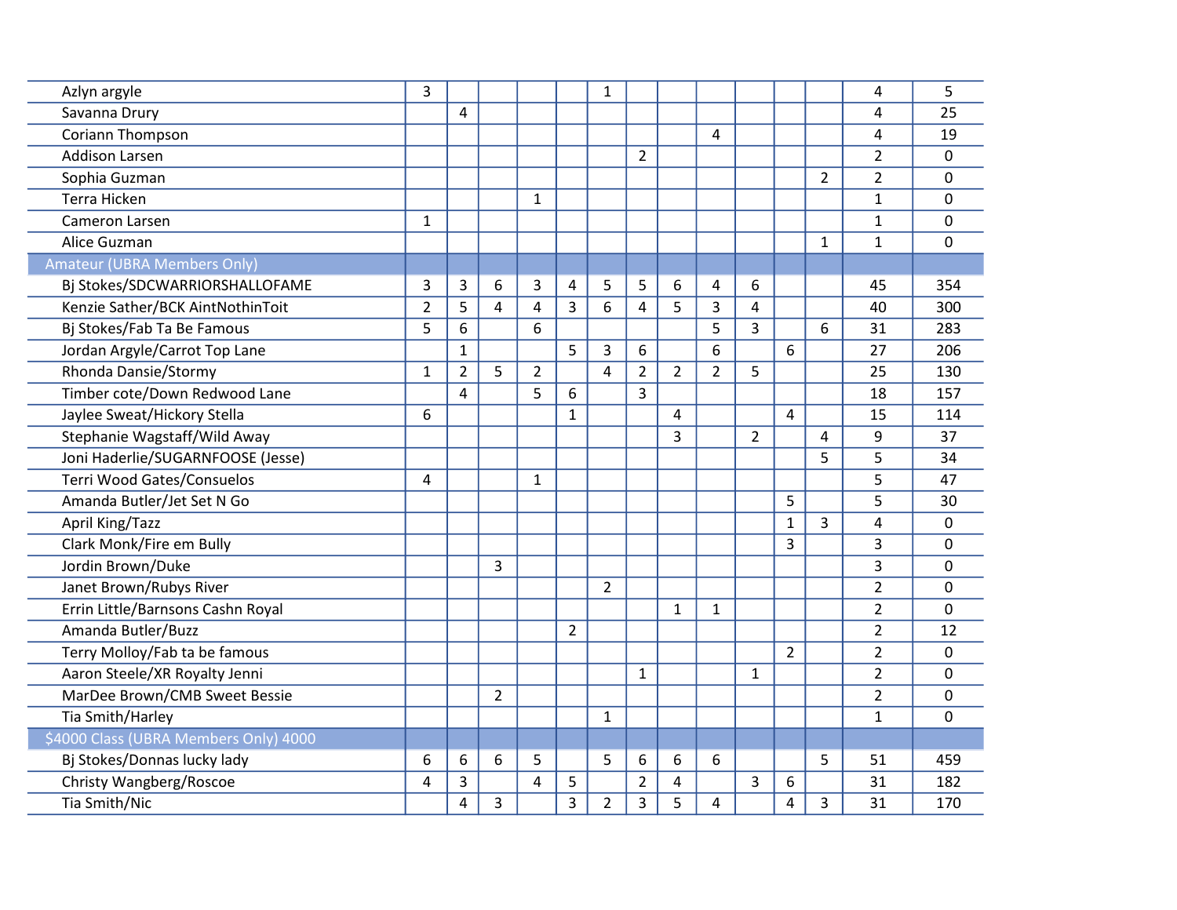| Azlyn argyle                          | 3              |                |                |                |                | $\mathbf{1}$   |                |                |                |                |                |                | 4              | 5              |
|---------------------------------------|----------------|----------------|----------------|----------------|----------------|----------------|----------------|----------------|----------------|----------------|----------------|----------------|----------------|----------------|
| Savanna Drury                         |                | 4              |                |                |                |                |                |                |                |                |                |                | 4              | 25             |
| Coriann Thompson                      |                |                |                |                |                |                |                |                | 4              |                |                |                | 4              | 19             |
| <b>Addison Larsen</b>                 |                |                |                |                |                |                | $\overline{2}$ |                |                |                |                |                | $\overline{2}$ | 0              |
| Sophia Guzman                         |                |                |                |                |                |                |                |                |                |                |                | $\overline{2}$ | $\overline{2}$ | 0              |
| <b>Terra Hicken</b>                   |                |                |                | $\mathbf{1}$   |                |                |                |                |                |                |                |                | $\mathbf 1$    | 0              |
| Cameron Larsen                        | $\mathbf{1}$   |                |                |                |                |                |                |                |                |                |                |                | $\mathbf{1}$   | 0              |
| Alice Guzman                          |                |                |                |                |                |                |                |                |                |                |                | $\mathbf{1}$   | $\mathbf 1$    | 0              |
| <b>Amateur (UBRA Members Only)</b>    |                |                |                |                |                |                |                |                |                |                |                |                |                |                |
| Bj Stokes/SDCWARRIORSHALLOFAME        | 3              | 3              | 6              | 3              | $\overline{4}$ | 5              | 5              | 6              | 4              | 6              |                |                | 45             | 354            |
| Kenzie Sather/BCK AintNothinToit      | $\overline{2}$ | 5              | 4              | 4              | 3              | 6              | $\overline{4}$ | 5              | 3              | 4              |                |                | 40             | 300            |
| Bj Stokes/Fab Ta Be Famous            | 5              | 6              |                | 6              |                |                |                |                | 5              | 3              |                | 6              | 31             | 283            |
| Jordan Argyle/Carrot Top Lane         |                | $\mathbf{1}$   |                |                | 5              | 3              | 6              |                | 6              |                | 6              |                | 27             | 206            |
| Rhonda Dansie/Stormy                  | $\mathbf{1}$   | $\overline{2}$ | 5              | $\overline{2}$ |                | 4              | $\overline{2}$ | $\overline{2}$ | $\overline{2}$ | 5              |                |                | 25             | 130            |
| Timber cote/Down Redwood Lane         |                | $\overline{4}$ |                | 5              | 6              |                | $\overline{3}$ |                |                |                |                |                | 18             | 157            |
| Jaylee Sweat/Hickory Stella           | 6              |                |                |                | 1              |                |                | 4              |                |                | 4              |                | 15             | 114            |
| Stephanie Wagstaff/Wild Away          |                |                |                |                |                |                |                | 3              |                | $\overline{2}$ |                | 4              | 9              | 37             |
| Joni Haderlie/SUGARNFOOSE (Jesse)     |                |                |                |                |                |                |                |                |                |                |                | 5              | 5              | 34             |
| Terri Wood Gates/Consuelos            | 4              |                |                | $\mathbf{1}$   |                |                |                |                |                |                |                |                | 5              | 47             |
| Amanda Butler/Jet Set N Go            |                |                |                |                |                |                |                |                |                |                | 5              |                | 5              | 30             |
| April King/Tazz                       |                |                |                |                |                |                |                |                |                |                | $\mathbf 1$    | 3              | 4              | 0              |
| Clark Monk/Fire em Bully              |                |                |                |                |                |                |                |                |                |                | 3              |                | 3              | 0              |
| Jordin Brown/Duke                     |                |                | 3              |                |                |                |                |                |                |                |                |                | 3              | 0              |
| Janet Brown/Rubys River               |                |                |                |                |                | $\overline{2}$ |                |                |                |                |                |                | $\overline{2}$ | 0              |
| Errin Little/Barnsons Cashn Royal     |                |                |                |                |                |                |                | $\mathbf{1}$   | $\mathbf{1}$   |                |                |                | $\overline{2}$ | $\overline{0}$ |
| Amanda Butler/Buzz                    |                |                |                |                | $\overline{2}$ |                |                |                |                |                |                |                | $\overline{2}$ | 12             |
| Terry Molloy/Fab ta be famous         |                |                |                |                |                |                |                |                |                |                | $\overline{2}$ |                | $\overline{2}$ | 0              |
| Aaron Steele/XR Royalty Jenni         |                |                |                |                |                |                | $\mathbf{1}$   |                |                | $\mathbf{1}$   |                |                | $\overline{2}$ | 0              |
| MarDee Brown/CMB Sweet Bessie         |                |                | $\overline{2}$ |                |                |                |                |                |                |                |                |                | $\overline{2}$ | $\pmb{0}$      |
| Tia Smith/Harley                      |                |                |                |                |                | $\mathbf{1}$   |                |                |                |                |                |                | $\mathbf{1}$   | 0              |
| \$4000 Class (UBRA Members Only) 4000 |                |                |                |                |                |                |                |                |                |                |                |                |                |                |
| Bj Stokes/Donnas lucky lady           | 6              | 6              | 6              | 5              |                | 5              | 6              | 6              | 6              |                |                | 5              | 51             | 459            |
| Christy Wangberg/Roscoe               | 4              | 3              |                | 4              | 5              |                | $\overline{2}$ | 4              |                | 3              | 6              |                | 31             | 182            |
| Tia Smith/Nic                         |                | 4              | 3              |                | 3              | $\overline{2}$ | 3              | 5              | 4              |                | 4              | 3              | 31             | 170            |
|                                       |                |                |                |                |                |                |                |                |                |                |                |                |                |                |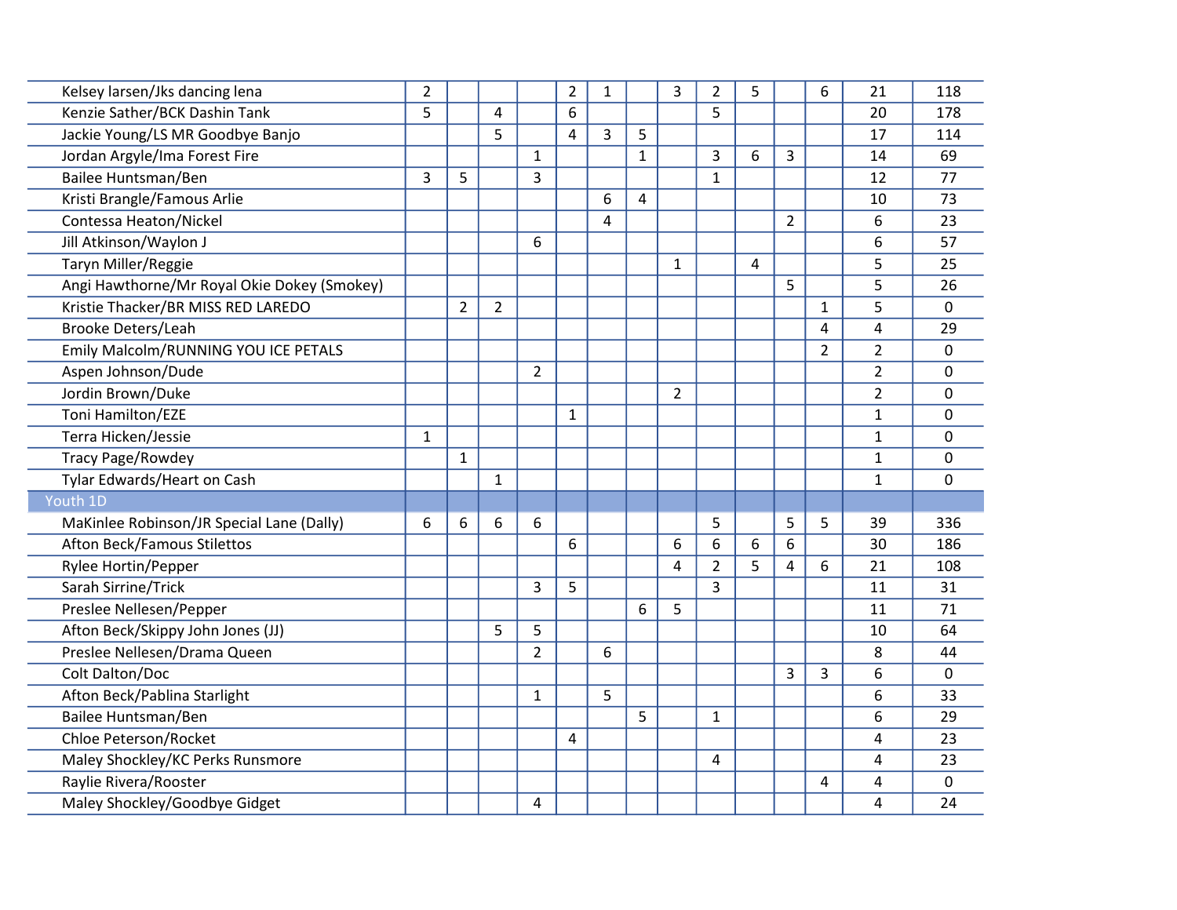| $\overline{2}$<br>6<br>$\overline{2}$<br>3<br>$\overline{2}$<br>5<br>Kelsey larsen/Jks dancing lena<br>$\mathbf{1}$<br>21<br>118<br>Kenzie Sather/BCK Dashin Tank<br>5<br>4<br>6<br>5<br>20<br>178<br>Jackie Young/LS MR Goodbye Banjo<br>5<br>$\overline{3}$<br>4<br>5<br>17<br>114<br>Jordan Argyle/Ima Forest Fire<br>$\mathbf{1}$<br>3<br>6<br>3<br>$\mathbf{1}$<br>69<br>14<br>Bailee Huntsman/Ben<br>3<br>5<br>3<br>12<br>1<br>77<br>Kristi Brangle/Famous Arlie<br>6<br>$\overline{4}$<br>10<br>73<br>Contessa Heaton/Nickel<br>$\overline{2}$<br>6<br>23<br>4<br>Jill Atkinson/Waylon J<br>57<br>6<br>6<br>Taryn Miller/Reggie<br>5<br>$\mathbf{1}$<br>4<br>25<br>Angi Hawthorne/Mr Royal Okie Dokey (Smokey)<br>5<br>5<br>26<br>Kristie Thacker/BR MISS RED LAREDO<br>5<br>$\overline{2}$<br>$\overline{2}$<br>$\mathbf{1}$<br>0<br><b>Brooke Deters/Leah</b><br>29<br>4<br>4<br>Emily Malcolm/RUNNING YOU ICE PETALS<br>$\overline{2}$<br>$\overline{2}$<br>0<br>Aspen Johnson/Dude<br>$\overline{2}$<br>$\overline{2}$<br>0<br>Jordin Brown/Duke<br>$\overline{2}$<br>$\overline{2}$<br>0<br>Toni Hamilton/EZE<br>$\mathbf 1$<br>0<br>$\mathbf{1}$<br>Terra Hicken/Jessie<br>$\mathbf{1}$<br>$\mathbf 1$<br>$\mathbf{0}$<br><b>Tracy Page/Rowdey</b><br>0<br>$\mathbf{1}$<br>$\mathbf{1}$<br>Tylar Edwards/Heart on Cash<br>$\Omega$<br>$\mathbf{1}$<br>$\mathbf{1}$<br>Youth 1D<br>MaKinlee Robinson/JR Special Lane (Dally)<br>6<br>6<br>6<br>5<br>5<br>5<br>6<br>39<br>336<br><b>Afton Beck/Famous Stilettos</b><br>6<br>6<br>6<br>6<br>6<br>186<br>30<br>Rylee Hortin/Pepper<br>5<br>4<br>$\overline{2}$<br>4<br>6<br>21<br>108<br>Sarah Sirrine/Trick<br>3<br>5<br>3<br>31<br>11<br>Preslee Nellesen/Pepper<br>6<br>5<br>71<br>11<br>Afton Beck/Skippy John Jones (JJ)<br>5<br>5<br>64<br>10<br>Preslee Nellesen/Drama Queen<br>$\overline{2}$<br>6<br>8<br>44<br>6<br>Colt Dalton/Doc<br>3<br>3<br>$\mathbf{0}$<br>Afton Beck/Pablina Starlight<br>5<br>6<br>33<br>$\mathbf{1}$<br>5<br>Bailee Huntsman/Ben<br>$\mathbf{1}$<br>6<br>29<br><b>Chloe Peterson/Rocket</b><br>23<br>4<br>4<br>Maley Shockley/KC Perks Runsmore<br>4<br>4<br>23<br>Raylie Rivera/Rooster<br>4<br>4<br>0<br>Maley Shockley/Goodbye Gidget<br>24<br>4<br>4 |  |  |  |  |  |  |  |  |
|------------------------------------------------------------------------------------------------------------------------------------------------------------------------------------------------------------------------------------------------------------------------------------------------------------------------------------------------------------------------------------------------------------------------------------------------------------------------------------------------------------------------------------------------------------------------------------------------------------------------------------------------------------------------------------------------------------------------------------------------------------------------------------------------------------------------------------------------------------------------------------------------------------------------------------------------------------------------------------------------------------------------------------------------------------------------------------------------------------------------------------------------------------------------------------------------------------------------------------------------------------------------------------------------------------------------------------------------------------------------------------------------------------------------------------------------------------------------------------------------------------------------------------------------------------------------------------------------------------------------------------------------------------------------------------------------------------------------------------------------------------------------------------------------------------------------------------------------------------------------------------------------------------------------------------------------------------------------------------------------------------------------------------------------------------------------------------------------------------------------------------------------------------------------------------------------------------------------------------------------------|--|--|--|--|--|--|--|--|
|                                                                                                                                                                                                                                                                                                                                                                                                                                                                                                                                                                                                                                                                                                                                                                                                                                                                                                                                                                                                                                                                                                                                                                                                                                                                                                                                                                                                                                                                                                                                                                                                                                                                                                                                                                                                                                                                                                                                                                                                                                                                                                                                                                                                                                                      |  |  |  |  |  |  |  |  |
|                                                                                                                                                                                                                                                                                                                                                                                                                                                                                                                                                                                                                                                                                                                                                                                                                                                                                                                                                                                                                                                                                                                                                                                                                                                                                                                                                                                                                                                                                                                                                                                                                                                                                                                                                                                                                                                                                                                                                                                                                                                                                                                                                                                                                                                      |  |  |  |  |  |  |  |  |
|                                                                                                                                                                                                                                                                                                                                                                                                                                                                                                                                                                                                                                                                                                                                                                                                                                                                                                                                                                                                                                                                                                                                                                                                                                                                                                                                                                                                                                                                                                                                                                                                                                                                                                                                                                                                                                                                                                                                                                                                                                                                                                                                                                                                                                                      |  |  |  |  |  |  |  |  |
|                                                                                                                                                                                                                                                                                                                                                                                                                                                                                                                                                                                                                                                                                                                                                                                                                                                                                                                                                                                                                                                                                                                                                                                                                                                                                                                                                                                                                                                                                                                                                                                                                                                                                                                                                                                                                                                                                                                                                                                                                                                                                                                                                                                                                                                      |  |  |  |  |  |  |  |  |
|                                                                                                                                                                                                                                                                                                                                                                                                                                                                                                                                                                                                                                                                                                                                                                                                                                                                                                                                                                                                                                                                                                                                                                                                                                                                                                                                                                                                                                                                                                                                                                                                                                                                                                                                                                                                                                                                                                                                                                                                                                                                                                                                                                                                                                                      |  |  |  |  |  |  |  |  |
|                                                                                                                                                                                                                                                                                                                                                                                                                                                                                                                                                                                                                                                                                                                                                                                                                                                                                                                                                                                                                                                                                                                                                                                                                                                                                                                                                                                                                                                                                                                                                                                                                                                                                                                                                                                                                                                                                                                                                                                                                                                                                                                                                                                                                                                      |  |  |  |  |  |  |  |  |
|                                                                                                                                                                                                                                                                                                                                                                                                                                                                                                                                                                                                                                                                                                                                                                                                                                                                                                                                                                                                                                                                                                                                                                                                                                                                                                                                                                                                                                                                                                                                                                                                                                                                                                                                                                                                                                                                                                                                                                                                                                                                                                                                                                                                                                                      |  |  |  |  |  |  |  |  |
|                                                                                                                                                                                                                                                                                                                                                                                                                                                                                                                                                                                                                                                                                                                                                                                                                                                                                                                                                                                                                                                                                                                                                                                                                                                                                                                                                                                                                                                                                                                                                                                                                                                                                                                                                                                                                                                                                                                                                                                                                                                                                                                                                                                                                                                      |  |  |  |  |  |  |  |  |
|                                                                                                                                                                                                                                                                                                                                                                                                                                                                                                                                                                                                                                                                                                                                                                                                                                                                                                                                                                                                                                                                                                                                                                                                                                                                                                                                                                                                                                                                                                                                                                                                                                                                                                                                                                                                                                                                                                                                                                                                                                                                                                                                                                                                                                                      |  |  |  |  |  |  |  |  |
|                                                                                                                                                                                                                                                                                                                                                                                                                                                                                                                                                                                                                                                                                                                                                                                                                                                                                                                                                                                                                                                                                                                                                                                                                                                                                                                                                                                                                                                                                                                                                                                                                                                                                                                                                                                                                                                                                                                                                                                                                                                                                                                                                                                                                                                      |  |  |  |  |  |  |  |  |
|                                                                                                                                                                                                                                                                                                                                                                                                                                                                                                                                                                                                                                                                                                                                                                                                                                                                                                                                                                                                                                                                                                                                                                                                                                                                                                                                                                                                                                                                                                                                                                                                                                                                                                                                                                                                                                                                                                                                                                                                                                                                                                                                                                                                                                                      |  |  |  |  |  |  |  |  |
|                                                                                                                                                                                                                                                                                                                                                                                                                                                                                                                                                                                                                                                                                                                                                                                                                                                                                                                                                                                                                                                                                                                                                                                                                                                                                                                                                                                                                                                                                                                                                                                                                                                                                                                                                                                                                                                                                                                                                                                                                                                                                                                                                                                                                                                      |  |  |  |  |  |  |  |  |
|                                                                                                                                                                                                                                                                                                                                                                                                                                                                                                                                                                                                                                                                                                                                                                                                                                                                                                                                                                                                                                                                                                                                                                                                                                                                                                                                                                                                                                                                                                                                                                                                                                                                                                                                                                                                                                                                                                                                                                                                                                                                                                                                                                                                                                                      |  |  |  |  |  |  |  |  |
|                                                                                                                                                                                                                                                                                                                                                                                                                                                                                                                                                                                                                                                                                                                                                                                                                                                                                                                                                                                                                                                                                                                                                                                                                                                                                                                                                                                                                                                                                                                                                                                                                                                                                                                                                                                                                                                                                                                                                                                                                                                                                                                                                                                                                                                      |  |  |  |  |  |  |  |  |
|                                                                                                                                                                                                                                                                                                                                                                                                                                                                                                                                                                                                                                                                                                                                                                                                                                                                                                                                                                                                                                                                                                                                                                                                                                                                                                                                                                                                                                                                                                                                                                                                                                                                                                                                                                                                                                                                                                                                                                                                                                                                                                                                                                                                                                                      |  |  |  |  |  |  |  |  |
|                                                                                                                                                                                                                                                                                                                                                                                                                                                                                                                                                                                                                                                                                                                                                                                                                                                                                                                                                                                                                                                                                                                                                                                                                                                                                                                                                                                                                                                                                                                                                                                                                                                                                                                                                                                                                                                                                                                                                                                                                                                                                                                                                                                                                                                      |  |  |  |  |  |  |  |  |
|                                                                                                                                                                                                                                                                                                                                                                                                                                                                                                                                                                                                                                                                                                                                                                                                                                                                                                                                                                                                                                                                                                                                                                                                                                                                                                                                                                                                                                                                                                                                                                                                                                                                                                                                                                                                                                                                                                                                                                                                                                                                                                                                                                                                                                                      |  |  |  |  |  |  |  |  |
|                                                                                                                                                                                                                                                                                                                                                                                                                                                                                                                                                                                                                                                                                                                                                                                                                                                                                                                                                                                                                                                                                                                                                                                                                                                                                                                                                                                                                                                                                                                                                                                                                                                                                                                                                                                                                                                                                                                                                                                                                                                                                                                                                                                                                                                      |  |  |  |  |  |  |  |  |
|                                                                                                                                                                                                                                                                                                                                                                                                                                                                                                                                                                                                                                                                                                                                                                                                                                                                                                                                                                                                                                                                                                                                                                                                                                                                                                                                                                                                                                                                                                                                                                                                                                                                                                                                                                                                                                                                                                                                                                                                                                                                                                                                                                                                                                                      |  |  |  |  |  |  |  |  |
|                                                                                                                                                                                                                                                                                                                                                                                                                                                                                                                                                                                                                                                                                                                                                                                                                                                                                                                                                                                                                                                                                                                                                                                                                                                                                                                                                                                                                                                                                                                                                                                                                                                                                                                                                                                                                                                                                                                                                                                                                                                                                                                                                                                                                                                      |  |  |  |  |  |  |  |  |
|                                                                                                                                                                                                                                                                                                                                                                                                                                                                                                                                                                                                                                                                                                                                                                                                                                                                                                                                                                                                                                                                                                                                                                                                                                                                                                                                                                                                                                                                                                                                                                                                                                                                                                                                                                                                                                                                                                                                                                                                                                                                                                                                                                                                                                                      |  |  |  |  |  |  |  |  |
|                                                                                                                                                                                                                                                                                                                                                                                                                                                                                                                                                                                                                                                                                                                                                                                                                                                                                                                                                                                                                                                                                                                                                                                                                                                                                                                                                                                                                                                                                                                                                                                                                                                                                                                                                                                                                                                                                                                                                                                                                                                                                                                                                                                                                                                      |  |  |  |  |  |  |  |  |
|                                                                                                                                                                                                                                                                                                                                                                                                                                                                                                                                                                                                                                                                                                                                                                                                                                                                                                                                                                                                                                                                                                                                                                                                                                                                                                                                                                                                                                                                                                                                                                                                                                                                                                                                                                                                                                                                                                                                                                                                                                                                                                                                                                                                                                                      |  |  |  |  |  |  |  |  |
|                                                                                                                                                                                                                                                                                                                                                                                                                                                                                                                                                                                                                                                                                                                                                                                                                                                                                                                                                                                                                                                                                                                                                                                                                                                                                                                                                                                                                                                                                                                                                                                                                                                                                                                                                                                                                                                                                                                                                                                                                                                                                                                                                                                                                                                      |  |  |  |  |  |  |  |  |
|                                                                                                                                                                                                                                                                                                                                                                                                                                                                                                                                                                                                                                                                                                                                                                                                                                                                                                                                                                                                                                                                                                                                                                                                                                                                                                                                                                                                                                                                                                                                                                                                                                                                                                                                                                                                                                                                                                                                                                                                                                                                                                                                                                                                                                                      |  |  |  |  |  |  |  |  |
|                                                                                                                                                                                                                                                                                                                                                                                                                                                                                                                                                                                                                                                                                                                                                                                                                                                                                                                                                                                                                                                                                                                                                                                                                                                                                                                                                                                                                                                                                                                                                                                                                                                                                                                                                                                                                                                                                                                                                                                                                                                                                                                                                                                                                                                      |  |  |  |  |  |  |  |  |
|                                                                                                                                                                                                                                                                                                                                                                                                                                                                                                                                                                                                                                                                                                                                                                                                                                                                                                                                                                                                                                                                                                                                                                                                                                                                                                                                                                                                                                                                                                                                                                                                                                                                                                                                                                                                                                                                                                                                                                                                                                                                                                                                                                                                                                                      |  |  |  |  |  |  |  |  |
|                                                                                                                                                                                                                                                                                                                                                                                                                                                                                                                                                                                                                                                                                                                                                                                                                                                                                                                                                                                                                                                                                                                                                                                                                                                                                                                                                                                                                                                                                                                                                                                                                                                                                                                                                                                                                                                                                                                                                                                                                                                                                                                                                                                                                                                      |  |  |  |  |  |  |  |  |
|                                                                                                                                                                                                                                                                                                                                                                                                                                                                                                                                                                                                                                                                                                                                                                                                                                                                                                                                                                                                                                                                                                                                                                                                                                                                                                                                                                                                                                                                                                                                                                                                                                                                                                                                                                                                                                                                                                                                                                                                                                                                                                                                                                                                                                                      |  |  |  |  |  |  |  |  |
|                                                                                                                                                                                                                                                                                                                                                                                                                                                                                                                                                                                                                                                                                                                                                                                                                                                                                                                                                                                                                                                                                                                                                                                                                                                                                                                                                                                                                                                                                                                                                                                                                                                                                                                                                                                                                                                                                                                                                                                                                                                                                                                                                                                                                                                      |  |  |  |  |  |  |  |  |
|                                                                                                                                                                                                                                                                                                                                                                                                                                                                                                                                                                                                                                                                                                                                                                                                                                                                                                                                                                                                                                                                                                                                                                                                                                                                                                                                                                                                                                                                                                                                                                                                                                                                                                                                                                                                                                                                                                                                                                                                                                                                                                                                                                                                                                                      |  |  |  |  |  |  |  |  |
|                                                                                                                                                                                                                                                                                                                                                                                                                                                                                                                                                                                                                                                                                                                                                                                                                                                                                                                                                                                                                                                                                                                                                                                                                                                                                                                                                                                                                                                                                                                                                                                                                                                                                                                                                                                                                                                                                                                                                                                                                                                                                                                                                                                                                                                      |  |  |  |  |  |  |  |  |
|                                                                                                                                                                                                                                                                                                                                                                                                                                                                                                                                                                                                                                                                                                                                                                                                                                                                                                                                                                                                                                                                                                                                                                                                                                                                                                                                                                                                                                                                                                                                                                                                                                                                                                                                                                                                                                                                                                                                                                                                                                                                                                                                                                                                                                                      |  |  |  |  |  |  |  |  |
|                                                                                                                                                                                                                                                                                                                                                                                                                                                                                                                                                                                                                                                                                                                                                                                                                                                                                                                                                                                                                                                                                                                                                                                                                                                                                                                                                                                                                                                                                                                                                                                                                                                                                                                                                                                                                                                                                                                                                                                                                                                                                                                                                                                                                                                      |  |  |  |  |  |  |  |  |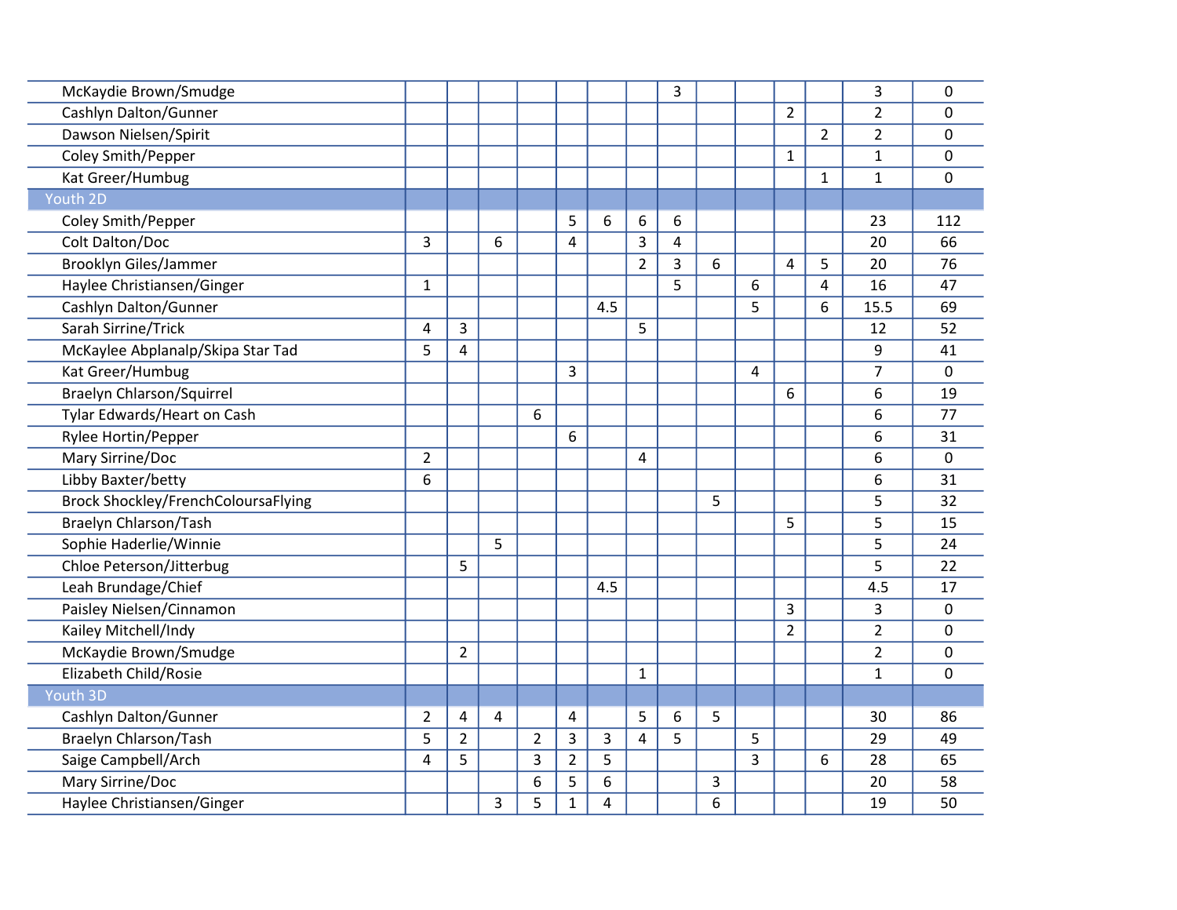| McKaydie Brown/Smudge                      |                |                |   |                |                |     |                | 3 |   |   |                |                | 3              | 0   |
|--------------------------------------------|----------------|----------------|---|----------------|----------------|-----|----------------|---|---|---|----------------|----------------|----------------|-----|
| Cashlyn Dalton/Gunner                      |                |                |   |                |                |     |                |   |   |   | $\overline{2}$ |                | $\overline{2}$ | 0   |
| Dawson Nielsen/Spirit                      |                |                |   |                |                |     |                |   |   |   |                | $\overline{2}$ | $\overline{2}$ | 0   |
| Coley Smith/Pepper                         |                |                |   |                |                |     |                |   |   |   | $\mathbf{1}$   |                | $\mathbf{1}$   | 0   |
| Kat Greer/Humbug                           |                |                |   |                |                |     |                |   |   |   |                | $\mathbf{1}$   | $\mathbf 1$    | 0   |
| Youth 2D                                   |                |                |   |                |                |     |                |   |   |   |                |                |                |     |
| Coley Smith/Pepper                         |                |                |   |                | 5              | 6   | 6              | 6 |   |   |                |                | 23             | 112 |
| Colt Dalton/Doc                            | 3              |                | 6 |                | 4              |     | 3              | 4 |   |   |                |                | 20             | 66  |
| <b>Brooklyn Giles/Jammer</b>               |                |                |   |                |                |     | $\overline{2}$ | 3 | 6 |   | 4              | 5              | 20             | 76  |
| Haylee Christiansen/Ginger                 | $\mathbf{1}$   |                |   |                |                |     |                | 5 |   | 6 |                | 4              | 16             | 47  |
| Cashlyn Dalton/Gunner                      |                |                |   |                |                | 4.5 |                |   |   | 5 |                | 6              | 15.5           | 69  |
| Sarah Sirrine/Trick                        | 4              | 3              |   |                |                |     | 5              |   |   |   |                |                | 12             | 52  |
| McKaylee Abplanalp/Skipa Star Tad          | 5              | $\overline{4}$ |   |                |                |     |                |   |   |   |                |                | 9              | 41  |
| Kat Greer/Humbug                           |                |                |   |                | 3              |     |                |   |   | 4 |                |                | $\overline{7}$ | 0   |
| <b>Braelyn Chlarson/Squirrel</b>           |                |                |   |                |                |     |                |   |   |   | 6              |                | 6              | 19  |
| Tylar Edwards/Heart on Cash                |                |                |   | 6              |                |     |                |   |   |   |                |                | 6              | 77  |
| Rylee Hortin/Pepper                        |                |                |   |                | 6              |     |                |   |   |   |                |                | 6              | 31  |
| Mary Sirrine/Doc                           | $\overline{2}$ |                |   |                |                |     | $\overline{4}$ |   |   |   |                |                | 6              | 0   |
| Libby Baxter/betty                         | 6              |                |   |                |                |     |                |   |   |   |                |                | 6              | 31  |
| <b>Brock Shockley/FrenchColoursaFlying</b> |                |                |   |                |                |     |                |   | 5 |   |                |                | 5              | 32  |
| <b>Braelyn Chlarson/Tash</b>               |                |                |   |                |                |     |                |   |   |   | 5              |                | 5              | 15  |
| Sophie Haderlie/Winnie                     |                |                | 5 |                |                |     |                |   |   |   |                |                | 5              | 24  |
| Chloe Peterson/Jitterbug                   |                | 5              |   |                |                |     |                |   |   |   |                |                | 5              | 22  |
| Leah Brundage/Chief                        |                |                |   |                |                | 4.5 |                |   |   |   |                |                | 4.5            | 17  |
| Paisley Nielsen/Cinnamon                   |                |                |   |                |                |     |                |   |   |   | 3              |                | 3              | 0   |
| Kailey Mitchell/Indy                       |                |                |   |                |                |     |                |   |   |   | $\overline{2}$ |                | $\overline{2}$ | 0   |
| McKaydie Brown/Smudge                      |                | $\overline{2}$ |   |                |                |     |                |   |   |   |                |                | $\overline{2}$ | 0   |
| Elizabeth Child/Rosie                      |                |                |   |                |                |     | $\mathbf{1}$   |   |   |   |                |                | $\mathbf{1}$   | 0   |
| Youth 3D                                   |                |                |   |                |                |     |                |   |   |   |                |                |                |     |
| Cashlyn Dalton/Gunner                      | $\overline{2}$ | 4              | 4 |                | 4              |     | 5              | 6 | 5 |   |                |                | 30             | 86  |
| <b>Braelyn Chlarson/Tash</b>               | 5              | $\overline{2}$ |   | $\overline{2}$ | 3              | 3   | $\overline{4}$ | 5 |   | 5 |                |                | 29             | 49  |
| Saige Campbell/Arch                        | $\overline{4}$ | 5              |   | 3              | $\overline{2}$ | 5   |                |   |   | 3 |                | 6              | 28             | 65  |
| Mary Sirrine/Doc                           |                |                |   | 6              | 5              | 6   |                |   | 3 |   |                |                | 20             | 58  |
| Haylee Christiansen/Ginger                 |                |                | 3 | 5              | $\mathbf{1}$   | 4   |                |   | 6 |   |                |                | 19             | 50  |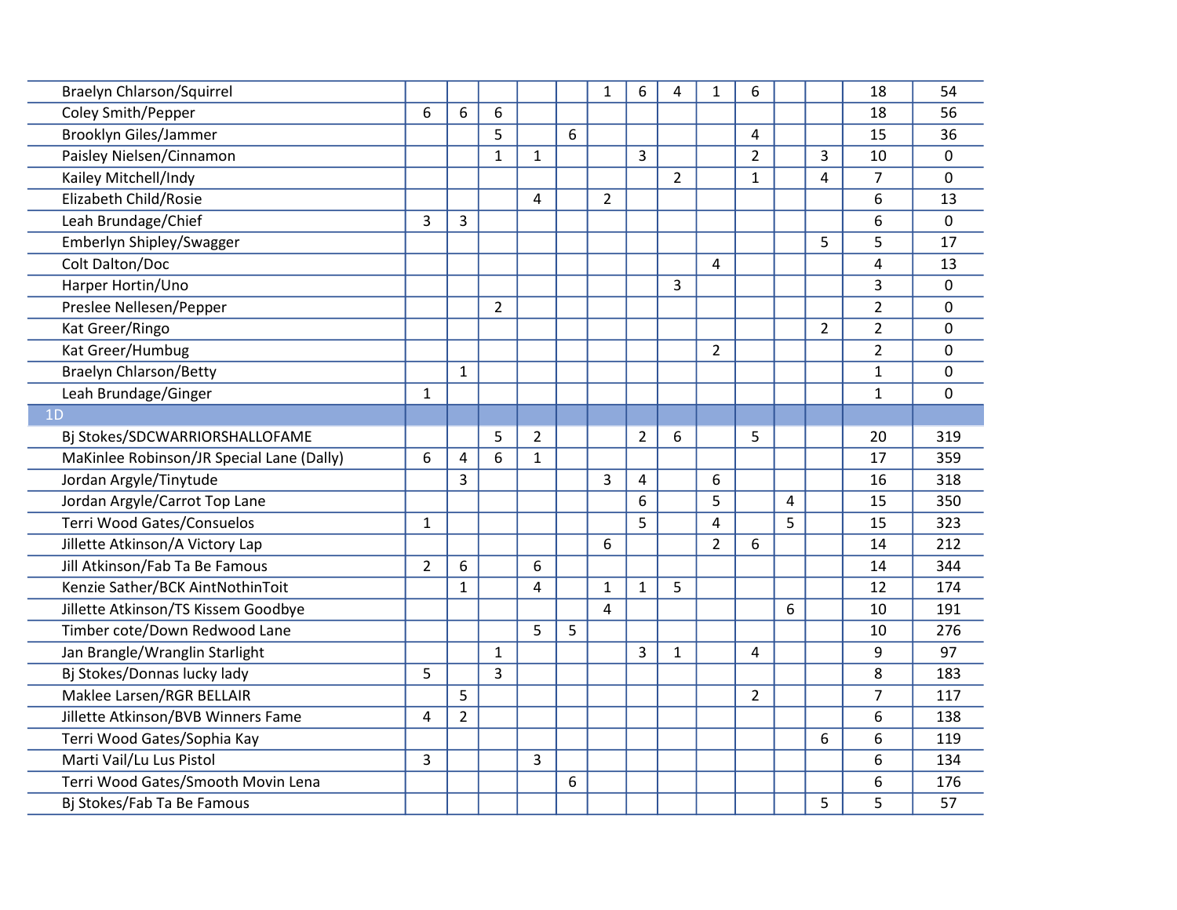| <b>Braelyn Chlarson/Squirrel</b>          |                |                |                |   |   | $\mathbf{1}$   | 6              | 4              | 1              | 6              |                |                | 18             | 54           |
|-------------------------------------------|----------------|----------------|----------------|---|---|----------------|----------------|----------------|----------------|----------------|----------------|----------------|----------------|--------------|
| Coley Smith/Pepper                        | 6              | 6              | 6              |   |   |                |                |                |                |                |                |                | 18             | 56           |
| Brooklyn Giles/Jammer                     |                |                | 5              |   | 6 |                |                |                |                | 4              |                |                | 15             | 36           |
| Paisley Nielsen/Cinnamon                  |                |                | $\mathbf{1}$   | 1 |   |                | $\overline{3}$ |                |                | $\overline{2}$ |                | 3              | 10             | $\mathbf{0}$ |
| Kailey Mitchell/Indy                      |                |                |                |   |   |                |                | $\overline{2}$ |                | $\mathbf{1}$   |                | $\overline{4}$ | $\overline{7}$ | 0            |
| Elizabeth Child/Rosie                     |                |                |                | 4 |   | $\overline{2}$ |                |                |                |                |                |                | 6              | 13           |
| Leah Brundage/Chief                       | 3              | 3              |                |   |   |                |                |                |                |                |                |                | 6              | 0            |
| Emberlyn Shipley/Swagger                  |                |                |                |   |   |                |                |                |                |                |                | 5              | 5              | 17           |
| Colt Dalton/Doc                           |                |                |                |   |   |                |                |                | 4              |                |                |                | 4              | 13           |
| Harper Hortin/Uno                         |                |                |                |   |   |                |                | 3              |                |                |                |                | 3              | 0            |
| Preslee Nellesen/Pepper                   |                |                | $\overline{2}$ |   |   |                |                |                |                |                |                |                | $\overline{2}$ | 0            |
| Kat Greer/Ringo                           |                |                |                |   |   |                |                |                |                |                |                | $\overline{2}$ | $\overline{2}$ | 0            |
| Kat Greer/Humbug                          |                |                |                |   |   |                |                |                | $\overline{2}$ |                |                |                | $\overline{2}$ | 0            |
| <b>Braelyn Chlarson/Betty</b>             |                | $\mathbf{1}$   |                |   |   |                |                |                |                |                |                |                | $\mathbf 1$    | 0            |
| Leah Brundage/Ginger                      | $\mathbf{1}$   |                |                |   |   |                |                |                |                |                |                |                | $\mathbf 1$    | 0            |
| 1D                                        |                |                |                |   |   |                |                |                |                |                |                |                |                |              |
| Bj Stokes/SDCWARRIORSHALLOFAME            |                |                | 5              | 2 |   |                | $\overline{2}$ | 6              |                | 5              |                |                | 20             | 319          |
| MaKinlee Robinson/JR Special Lane (Dally) | 6              | 4              | 6              | 1 |   |                |                |                |                |                |                |                | 17             | 359          |
| Jordan Argyle/Tinytude                    |                | $\overline{3}$ |                |   |   | 3              | 4              |                | 6              |                |                |                | 16             | 318          |
| Jordan Argyle/Carrot Top Lane             |                |                |                |   |   |                | 6              |                | 5              |                | $\overline{4}$ |                | 15             | 350          |
| Terri Wood Gates/Consuelos                | $\mathbf{1}$   |                |                |   |   |                | 5              |                | 4              |                | 5              |                | 15             | 323          |
| Jillette Atkinson/A Victory Lap           |                |                |                |   |   | 6              |                |                | $\overline{2}$ | 6              |                |                | 14             | 212          |
| Jill Atkinson/Fab Ta Be Famous            | $\overline{2}$ | 6              |                | 6 |   |                |                |                |                |                |                |                | 14             | 344          |
| Kenzie Sather/BCK AintNothinToit          |                | $\mathbf{1}$   |                | 4 |   | $\mathbf{1}$   | $\mathbf{1}$   | 5              |                |                |                |                | 12             | 174          |
| Jillette Atkinson/TS Kissem Goodbye       |                |                |                |   |   | $\overline{4}$ |                |                |                |                | 6              |                | 10             | 191          |
| Timber cote/Down Redwood Lane             |                |                |                | 5 | 5 |                |                |                |                |                |                |                | 10             | 276          |
| Jan Brangle/Wranglin Starlight            |                |                | $\mathbf{1}$   |   |   |                | 3              | $\mathbf{1}$   |                | 4              |                |                | 9              | 97           |
| Bj Stokes/Donnas lucky lady               | 5              |                | 3              |   |   |                |                |                |                |                |                |                | 8              | 183          |
| Maklee Larsen/RGR BELLAIR                 |                | 5              |                |   |   |                |                |                |                | $\overline{2}$ |                |                | $\overline{7}$ | 117          |
| Jillette Atkinson/BVB Winners Fame        | 4              | $\overline{2}$ |                |   |   |                |                |                |                |                |                |                | 6              | 138          |
| Terri Wood Gates/Sophia Kay               |                |                |                |   |   |                |                |                |                |                |                | 6              | 6              | 119          |
| Marti Vail/Lu Lus Pistol                  | 3              |                |                | 3 |   |                |                |                |                |                |                |                | 6              | 134          |
| Terri Wood Gates/Smooth Movin Lena        |                |                |                |   | 6 |                |                |                |                |                |                |                | 6              | 176          |
| Bj Stokes/Fab Ta Be Famous                |                |                |                |   |   |                |                |                |                |                |                | 5              | 5              | 57           |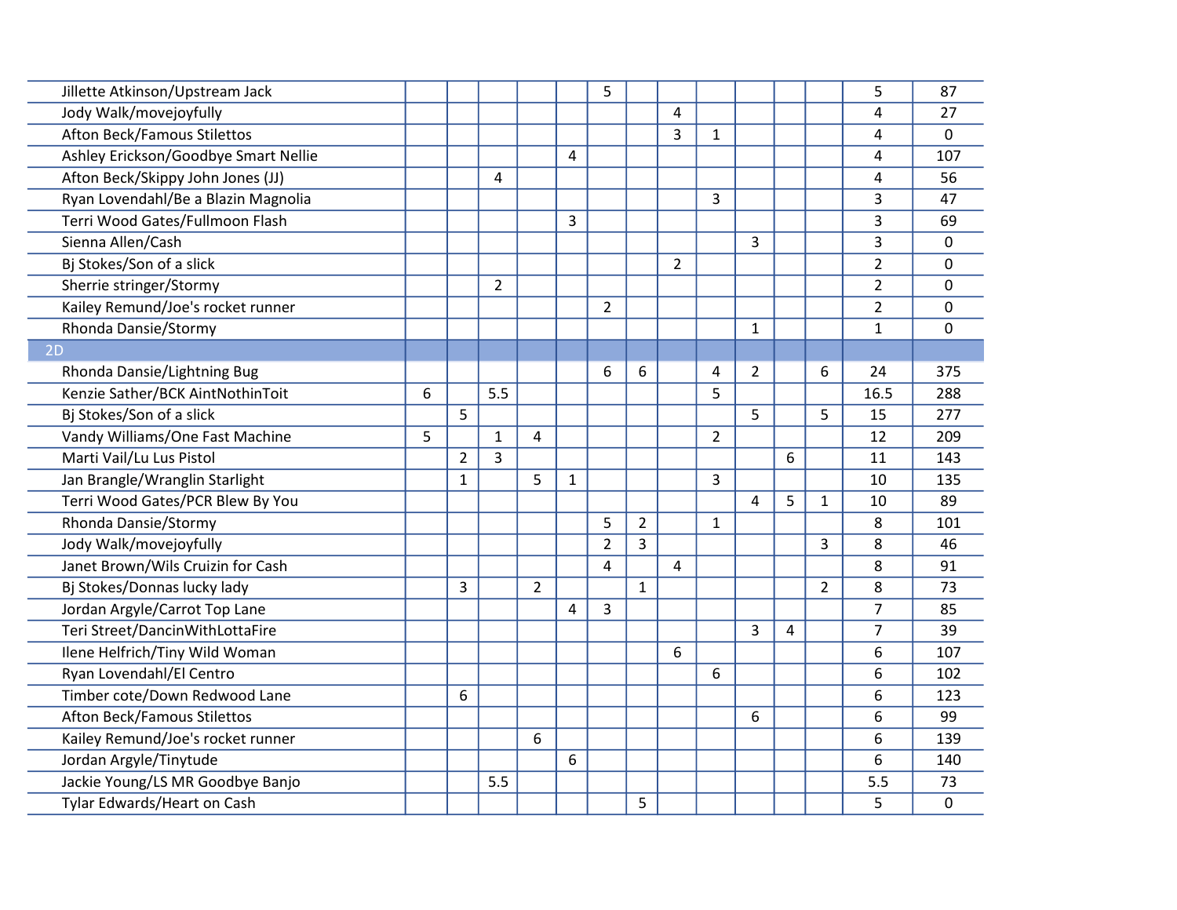|   |                |                |                |                | 5              |                |                |                |                |   |                | 5              | 87           |
|---|----------------|----------------|----------------|----------------|----------------|----------------|----------------|----------------|----------------|---|----------------|----------------|--------------|
|   |                |                |                |                |                |                | 4              |                |                |   |                | 4              | 27           |
|   |                |                |                |                |                |                | 3              | 1              |                |   |                | 4              | 0            |
|   |                |                |                | $\overline{4}$ |                |                |                |                |                |   |                | 4              | 107          |
|   |                | 4              |                |                |                |                |                |                |                |   |                | 4              | 56           |
|   |                |                |                |                |                |                |                | 3              |                |   |                | 3              | 47           |
|   |                |                |                | 3              |                |                |                |                |                |   |                | 3              | 69           |
|   |                |                |                |                |                |                |                |                | 3              |   |                | 3              | $\mathbf{0}$ |
|   |                |                |                |                |                |                | $\overline{2}$ |                |                |   |                | $\overline{2}$ | 0            |
|   |                | $\overline{2}$ |                |                |                |                |                |                |                |   |                | $\overline{2}$ | 0            |
|   |                |                |                |                | $\overline{2}$ |                |                |                |                |   |                | $\overline{2}$ | 0            |
|   |                |                |                |                |                |                |                |                | $\mathbf{1}$   |   |                | $\mathbf{1}$   | 0            |
|   |                |                |                |                |                |                |                |                |                |   |                |                |              |
|   |                |                |                |                | 6              | 6              |                | 4              | $\overline{2}$ |   | 6              | 24             | 375          |
| 6 |                | 5.5            |                |                |                |                |                | 5              |                |   |                | 16.5           | 288          |
|   | 5              |                |                |                |                |                |                |                | 5              |   | 5              | 15             | 277          |
| 5 |                | 1              | 4              |                |                |                |                | $\overline{2}$ |                |   |                | 12             | 209          |
|   | $\overline{2}$ | $\overline{3}$ |                |                |                |                |                |                |                | 6 |                | 11             | 143          |
|   | $\mathbf{1}$   |                | 5              | $\mathbf{1}$   |                |                |                | 3              |                |   |                | 10             | 135          |
|   |                |                |                |                |                |                |                |                | 4              | 5 | $\mathbf{1}$   | 10             | 89           |
|   |                |                |                |                | 5              | $\overline{2}$ |                | $\mathbf{1}$   |                |   |                | 8              | 101          |
|   |                |                |                |                | $\overline{2}$ | $\overline{3}$ |                |                |                |   | 3              | 8              | 46           |
|   |                |                |                |                | 4              |                | 4              |                |                |   |                | 8              | 91           |
|   | 3              |                | $\overline{2}$ |                |                | $\mathbf{1}$   |                |                |                |   | $\overline{2}$ | 8              | 73           |
|   |                |                |                | $\overline{4}$ | $\overline{3}$ |                |                |                |                |   |                | $\overline{7}$ | 85           |
|   |                |                |                |                |                |                |                |                | 3              | 4 |                | $\overline{7}$ | 39           |
|   |                |                |                |                |                |                | 6              |                |                |   |                | 6              | 107          |
|   |                |                |                |                |                |                |                | 6              |                |   |                | 6              | 102          |
|   | 6              |                |                |                |                |                |                |                |                |   |                | 6              | 123          |
|   |                |                |                |                |                |                |                |                | 6              |   |                | 6              | 99           |
|   |                |                | 6              |                |                |                |                |                |                |   |                | 6              | 139          |
|   |                |                |                | 6              |                |                |                |                |                |   |                | 6              | 140          |
|   |                | 5.5            |                |                |                |                |                |                |                |   |                | 5.5            | 73           |
|   |                |                |                |                |                | 5              |                |                |                |   |                | 5              | 0            |
|   |                |                |                |                |                |                |                |                |                |   |                |                |              |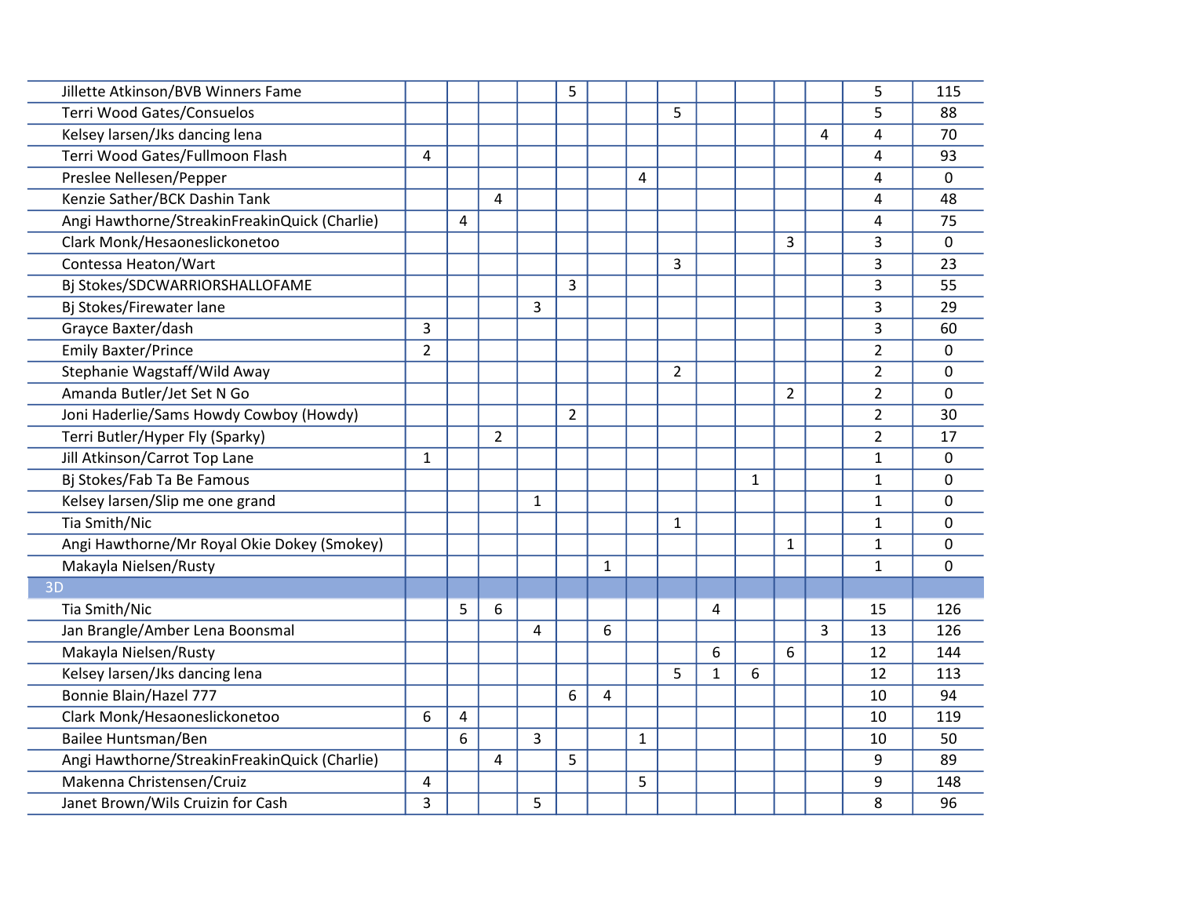| Jillette Atkinson/BVB Winners Fame            |                |   |                |              | 5              |              |              |                |              |              |                |                | 5              | 115          |
|-----------------------------------------------|----------------|---|----------------|--------------|----------------|--------------|--------------|----------------|--------------|--------------|----------------|----------------|----------------|--------------|
| Terri Wood Gates/Consuelos                    |                |   |                |              |                |              |              | 5              |              |              |                |                | 5              | 88           |
| Kelsey larsen/Jks dancing lena                |                |   |                |              |                |              |              |                |              |              |                | 4              | 4              | 70           |
| Terri Wood Gates/Fullmoon Flash               | 4              |   |                |              |                |              |              |                |              |              |                |                | 4              | 93           |
| Preslee Nellesen/Pepper                       |                |   |                |              |                |              | 4            |                |              |              |                |                | 4              | 0            |
| Kenzie Sather/BCK Dashin Tank                 |                |   | 4              |              |                |              |              |                |              |              |                |                | 4              | 48           |
| Angi Hawthorne/StreakinFreakinQuick (Charlie) |                | 4 |                |              |                |              |              |                |              |              |                |                | 4              | 75           |
| Clark Monk/Hesaoneslickonetoo                 |                |   |                |              |                |              |              |                |              |              | 3              |                | 3              | 0            |
| Contessa Heaton/Wart                          |                |   |                |              |                |              |              | $\overline{3}$ |              |              |                |                | 3              | 23           |
| Bj Stokes/SDCWARRIORSHALLOFAME                |                |   |                |              | 3              |              |              |                |              |              |                |                | 3              | 55           |
| Bj Stokes/Firewater lane                      |                |   |                | 3            |                |              |              |                |              |              |                |                | 3              | 29           |
| Grayce Baxter/dash                            | 3              |   |                |              |                |              |              |                |              |              |                |                | 3              | 60           |
| <b>Emily Baxter/Prince</b>                    | $\overline{2}$ |   |                |              |                |              |              |                |              |              |                |                | $\overline{2}$ | $\mathbf{0}$ |
| Stephanie Wagstaff/Wild Away                  |                |   |                |              |                |              |              | $\overline{2}$ |              |              |                |                | $\overline{2}$ | 0            |
| Amanda Butler/Jet Set N Go                    |                |   |                |              |                |              |              |                |              |              | $\overline{2}$ |                | $\overline{2}$ | 0            |
| Joni Haderlie/Sams Howdy Cowboy (Howdy)       |                |   |                |              | $\overline{2}$ |              |              |                |              |              |                |                | $\overline{2}$ | 30           |
| Terri Butler/Hyper Fly (Sparky)               |                |   | $\overline{2}$ |              |                |              |              |                |              |              |                |                | $\overline{2}$ | 17           |
| Jill Atkinson/Carrot Top Lane                 | $\mathbf{1}$   |   |                |              |                |              |              |                |              |              |                |                | $\mathbf{1}$   | 0            |
| Bj Stokes/Fab Ta Be Famous                    |                |   |                |              |                |              |              |                |              | $\mathbf{1}$ |                |                | $\mathbf 1$    | 0            |
| Kelsey larsen/Slip me one grand               |                |   |                | $\mathbf{1}$ |                |              |              |                |              |              |                |                | $\mathbf{1}$   | 0            |
| Tia Smith/Nic                                 |                |   |                |              |                |              |              | $\mathbf{1}$   |              |              |                |                | $\mathbf 1$    | 0            |
| Angi Hawthorne/Mr Royal Okie Dokey (Smokey)   |                |   |                |              |                |              |              |                |              |              | 1              |                | $\mathbf 1$    | 0            |
| Makayla Nielsen/Rusty                         |                |   |                |              |                | $\mathbf{1}$ |              |                |              |              |                |                | $\mathbf{1}$   | 0            |
| 3D                                            |                |   |                |              |                |              |              |                |              |              |                |                |                |              |
| Tia Smith/Nic                                 |                | 5 | 6              |              |                |              |              |                | 4            |              |                |                | 15             | 126          |
| Jan Brangle/Amber Lena Boonsmal               |                |   |                | 4            |                | 6            |              |                |              |              |                | $\overline{3}$ | 13             | 126          |
| Makayla Nielsen/Rusty                         |                |   |                |              |                |              |              |                | 6            |              | 6              |                | 12             | 144          |
| Kelsey larsen/Jks dancing lena                |                |   |                |              |                |              |              | 5              | $\mathbf{1}$ | 6            |                |                | 12             | 113          |
| Bonnie Blain/Hazel 777                        |                |   |                |              | 6              | 4            |              |                |              |              |                |                | 10             | 94           |
| Clark Monk/Hesaoneslickonetoo                 | 6              | 4 |                |              |                |              |              |                |              |              |                |                | 10             | 119          |
| Bailee Huntsman/Ben                           |                | 6 |                | 3            |                |              | $\mathbf{1}$ |                |              |              |                |                | 10             | 50           |
| Angi Hawthorne/StreakinFreakinQuick (Charlie) |                |   | 4              |              | 5              |              |              |                |              |              |                |                | 9              | 89           |
| Makenna Christensen/Cruiz                     | 4              |   |                |              |                |              | 5            |                |              |              |                |                | 9              | 148          |
| Janet Brown/Wils Cruizin for Cash             | 3              |   |                | 5            |                |              |              |                |              |              |                |                | 8              | 96           |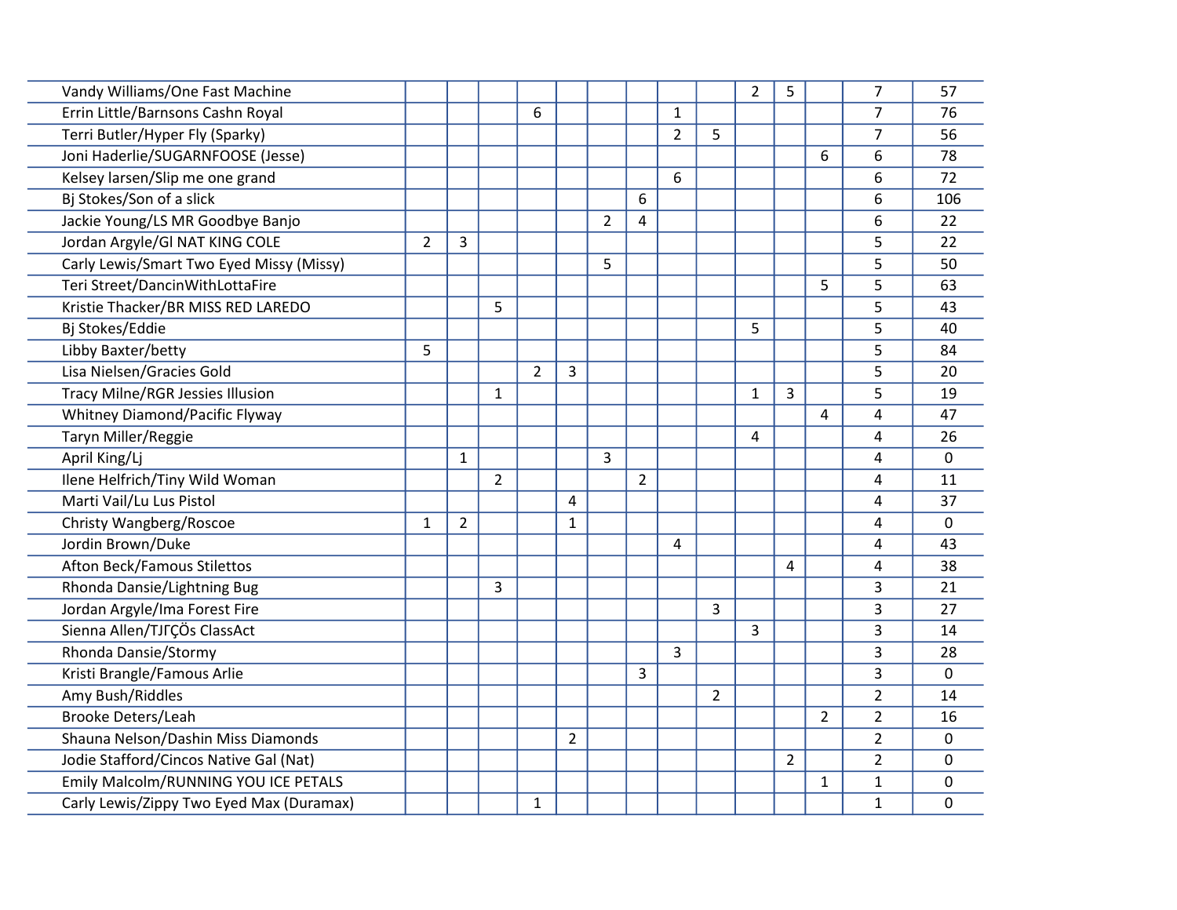| Vandy Williams/One Fast Machine          |                |                |                |                |                |                |                |                |                | $\overline{2}$ | 5              |                | $\overline{7}$ | 57           |
|------------------------------------------|----------------|----------------|----------------|----------------|----------------|----------------|----------------|----------------|----------------|----------------|----------------|----------------|----------------|--------------|
| Errin Little/Barnsons Cashn Royal        |                |                |                | 6              |                |                |                | $\mathbf 1$    |                |                |                |                | $\overline{7}$ | 76           |
| Terri Butler/Hyper Fly (Sparky)          |                |                |                |                |                |                |                | $\overline{2}$ | 5              |                |                |                | $\overline{7}$ | 56           |
| Joni Haderlie/SUGARNFOOSE (Jesse)        |                |                |                |                |                |                |                |                |                |                |                | 6              | 6              | 78           |
| Kelsey larsen/Slip me one grand          |                |                |                |                |                |                |                | 6              |                |                |                |                | 6              | 72           |
| Bj Stokes/Son of a slick                 |                |                |                |                |                |                | 6              |                |                |                |                |                | 6              | 106          |
| Jackie Young/LS MR Goodbye Banjo         |                |                |                |                |                | $\overline{2}$ | 4              |                |                |                |                |                | 6              | 22           |
| Jordan Argyle/GI NAT KING COLE           | $\overline{2}$ | 3              |                |                |                |                |                |                |                |                |                |                | 5              | 22           |
| Carly Lewis/Smart Two Eyed Missy (Missy) |                |                |                |                |                | 5              |                |                |                |                |                |                | 5              | 50           |
| Teri Street/DancinWithLottaFire          |                |                |                |                |                |                |                |                |                |                |                | 5              | 5              | 63           |
| Kristie Thacker/BR MISS RED LAREDO       |                |                | 5              |                |                |                |                |                |                |                |                |                | 5              | 43           |
| Bj Stokes/Eddie                          |                |                |                |                |                |                |                |                |                | 5              |                |                | 5              | 40           |
| Libby Baxter/betty                       | 5              |                |                |                |                |                |                |                |                |                |                |                | 5              | 84           |
| Lisa Nielsen/Gracies Gold                |                |                |                | $\overline{2}$ | 3              |                |                |                |                |                |                |                | 5              | 20           |
| <b>Tracy Milne/RGR Jessies Illusion</b>  |                |                | $\mathbf{1}$   |                |                |                |                |                |                | $\mathbf{1}$   | 3              |                | 5              | 19           |
| Whitney Diamond/Pacific Flyway           |                |                |                |                |                |                |                |                |                |                |                | 4              | $\overline{4}$ | 47           |
| Taryn Miller/Reggie                      |                |                |                |                |                |                |                |                |                | 4              |                |                | 4              | 26           |
| April King/Lj                            |                | $\mathbf{1}$   |                |                |                | 3              |                |                |                |                |                |                | 4              | $\mathbf 0$  |
| Ilene Helfrich/Tiny Wild Woman           |                |                | $\overline{2}$ |                |                |                | $\overline{2}$ |                |                |                |                |                | 4              | 11           |
| Marti Vail/Lu Lus Pistol                 |                |                |                |                | 4              |                |                |                |                |                |                |                | 4              | 37           |
| Christy Wangberg/Roscoe                  | $\mathbf{1}$   | $\overline{2}$ |                |                | $\mathbf{1}$   |                |                |                |                |                |                |                | $\overline{4}$ | $\mathbf{0}$ |
| Jordin Brown/Duke                        |                |                |                |                |                |                |                | 4              |                |                |                |                | 4              | 43           |
| Afton Beck/Famous Stilettos              |                |                |                |                |                |                |                |                |                |                | 4              |                | 4              | 38           |
| Rhonda Dansie/Lightning Bug              |                |                | 3              |                |                |                |                |                |                |                |                |                | 3              | 21           |
| Jordan Argyle/Ima Forest Fire            |                |                |                |                |                |                |                |                | 3              |                |                |                | 3              | 27           |
| Sienna Allen/TJFÇÖs ClassAct             |                |                |                |                |                |                |                |                |                | 3              |                |                | $\overline{3}$ | 14           |
| Rhonda Dansie/Stormy                     |                |                |                |                |                |                |                | 3              |                |                |                |                | 3              | 28           |
| Kristi Brangle/Famous Arlie              |                |                |                |                |                |                | 3              |                |                |                |                |                | 3              | $\mathbf{0}$ |
| Amy Bush/Riddles                         |                |                |                |                |                |                |                |                | $\overline{2}$ |                |                |                | $\overline{2}$ | 14           |
| <b>Brooke Deters/Leah</b>                |                |                |                |                |                |                |                |                |                |                |                | $\overline{2}$ | $\overline{2}$ | 16           |
| Shauna Nelson/Dashin Miss Diamonds       |                |                |                |                | $\overline{2}$ |                |                |                |                |                |                |                | $\overline{2}$ | $\mathbf 0$  |
| Jodie Stafford/Cincos Native Gal (Nat)   |                |                |                |                |                |                |                |                |                |                | $\overline{2}$ |                | $\overline{2}$ | 0            |
| Emily Malcolm/RUNNING YOU ICE PETALS     |                |                |                |                |                |                |                |                |                |                |                | $\mathbf 1$    | $\mathbf{1}$   | 0            |
| Carly Lewis/Zippy Two Eyed Max (Duramax) |                |                |                | $\mathbf{1}$   |                |                |                |                |                |                |                |                | $\mathbf{1}$   | $\mathbf 0$  |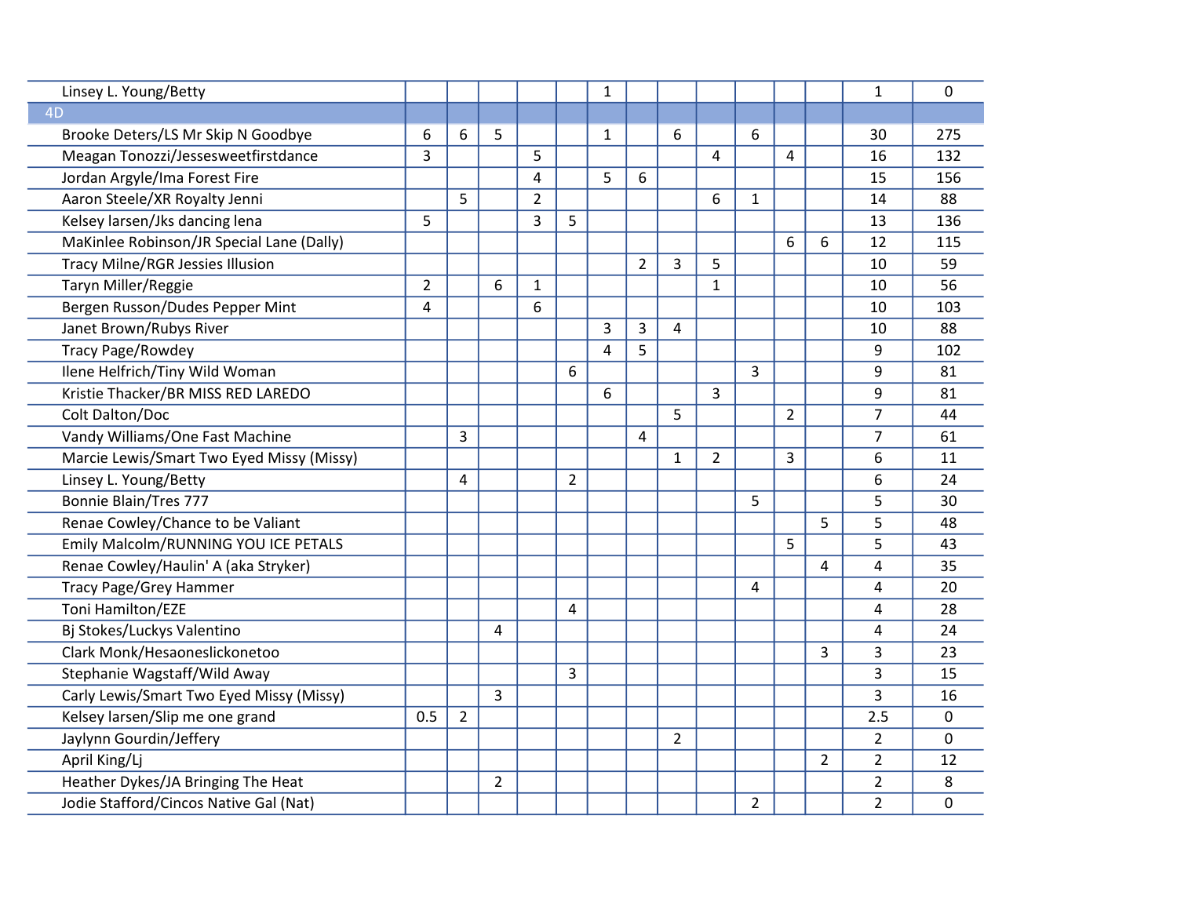| Linsey L. Young/Betty                     |                |                |                |                |                | $\mathbf{1}$ |                |                |                |                |                |                | $\mathbf{1}$   | 0   |
|-------------------------------------------|----------------|----------------|----------------|----------------|----------------|--------------|----------------|----------------|----------------|----------------|----------------|----------------|----------------|-----|
| 4D                                        |                |                |                |                |                |              |                |                |                |                |                |                |                |     |
| Brooke Deters/LS Mr Skip N Goodbye        | 6              | 6              | 5              |                |                | $\mathbf{1}$ |                | 6              |                | 6              |                |                | 30             | 275 |
| Meagan Tonozzi/Jessesweetfirstdance       | 3              |                |                | 5              |                |              |                |                | 4              |                | 4              |                | 16             | 132 |
| Jordan Argyle/Ima Forest Fire             |                |                |                | 4              |                | 5            | 6              |                |                |                |                |                | 15             | 156 |
| Aaron Steele/XR Royalty Jenni             |                | 5              |                | $\overline{2}$ |                |              |                |                | 6              | 1              |                |                | 14             | 88  |
| Kelsey larsen/Jks dancing lena            | 5              |                |                | 3              | 5              |              |                |                |                |                |                |                | 13             | 136 |
| MaKinlee Robinson/JR Special Lane (Dally) |                |                |                |                |                |              |                |                |                |                | 6              | 6              | 12             | 115 |
| <b>Tracy Milne/RGR Jessies Illusion</b>   |                |                |                |                |                |              | $\overline{2}$ | 3              | 5              |                |                |                | 10             | 59  |
| Taryn Miller/Reggie                       | $\overline{2}$ |                | 6              | $\mathbf{1}$   |                |              |                |                | $\mathbf{1}$   |                |                |                | 10             | 56  |
| Bergen Russon/Dudes Pepper Mint           | 4              |                |                | 6              |                |              |                |                |                |                |                |                | 10             | 103 |
| Janet Brown/Rubys River                   |                |                |                |                |                | 3            | 3              | 4              |                |                |                |                | 10             | 88  |
| <b>Tracy Page/Rowdey</b>                  |                |                |                |                |                | 4            | 5              |                |                |                |                |                | 9              | 102 |
| Ilene Helfrich/Tiny Wild Woman            |                |                |                |                | 6              |              |                |                |                | 3              |                |                | 9              | 81  |
| Kristie Thacker/BR MISS RED LAREDO        |                |                |                |                |                | 6            |                |                | 3              |                |                |                | 9              | 81  |
| Colt Dalton/Doc                           |                |                |                |                |                |              |                | 5              |                |                | $\overline{2}$ |                | $\overline{7}$ | 44  |
| Vandy Williams/One Fast Machine           |                | 3              |                |                |                |              | $\overline{4}$ |                |                |                |                |                | $\overline{7}$ | 61  |
| Marcie Lewis/Smart Two Eyed Missy (Missy) |                |                |                |                |                |              |                | $\mathbf{1}$   | $\overline{2}$ |                | 3              |                | 6              | 11  |
| Linsey L. Young/Betty                     |                | 4              |                |                | $\overline{2}$ |              |                |                |                |                |                |                | 6              | 24  |
| Bonnie Blain/Tres 777                     |                |                |                |                |                |              |                |                |                | 5              |                |                | 5              | 30  |
| Renae Cowley/Chance to be Valiant         |                |                |                |                |                |              |                |                |                |                |                | 5              | 5              | 48  |
| Emily Malcolm/RUNNING YOU ICE PETALS      |                |                |                |                |                |              |                |                |                |                | 5              |                | 5              | 43  |
| Renae Cowley/Haulin' A (aka Stryker)      |                |                |                |                |                |              |                |                |                |                |                | 4              | 4              | 35  |
| <b>Tracy Page/Grey Hammer</b>             |                |                |                |                |                |              |                |                |                | 4              |                |                | 4              | 20  |
| Toni Hamilton/EZE                         |                |                |                |                | 4              |              |                |                |                |                |                |                | 4              | 28  |
| Bj Stokes/Luckys Valentino                |                |                | 4              |                |                |              |                |                |                |                |                |                | 4              | 24  |
| Clark Monk/Hesaoneslickonetoo             |                |                |                |                |                |              |                |                |                |                |                | 3              | 3              | 23  |
| Stephanie Wagstaff/Wild Away              |                |                |                |                | 3              |              |                |                |                |                |                |                | 3              | 15  |
| Carly Lewis/Smart Two Eyed Missy (Missy)  |                |                | 3              |                |                |              |                |                |                |                |                |                | 3              | 16  |
| Kelsey larsen/Slip me one grand           | 0.5            | $\overline{2}$ |                |                |                |              |                |                |                |                |                |                | 2.5            | 0   |
| Jaylynn Gourdin/Jeffery                   |                |                |                |                |                |              |                | $\overline{2}$ |                |                |                |                | 2              | 0   |
| April King/Lj                             |                |                |                |                |                |              |                |                |                |                |                | $\overline{2}$ | $\overline{2}$ | 12  |
| Heather Dykes/JA Bringing The Heat        |                |                | $\overline{2}$ |                |                |              |                |                |                |                |                |                | $\overline{2}$ | 8   |
| Jodie Stafford/Cincos Native Gal (Nat)    |                |                |                |                |                |              |                |                |                | $\overline{2}$ |                |                | $\overline{2}$ | 0   |